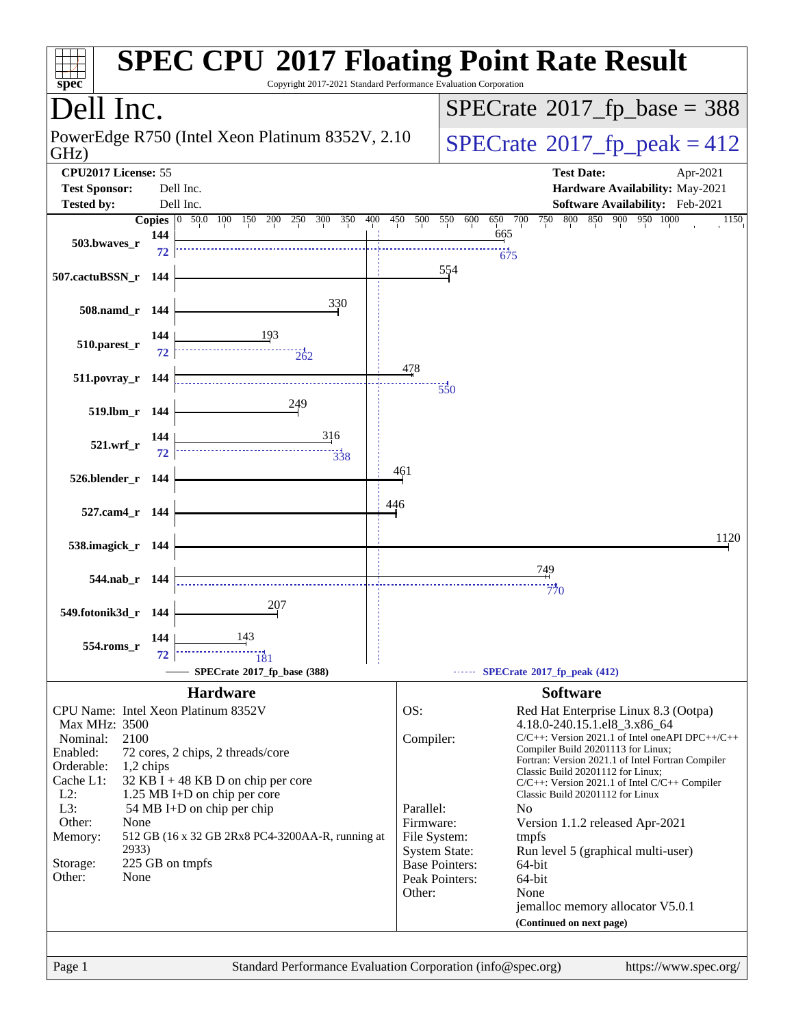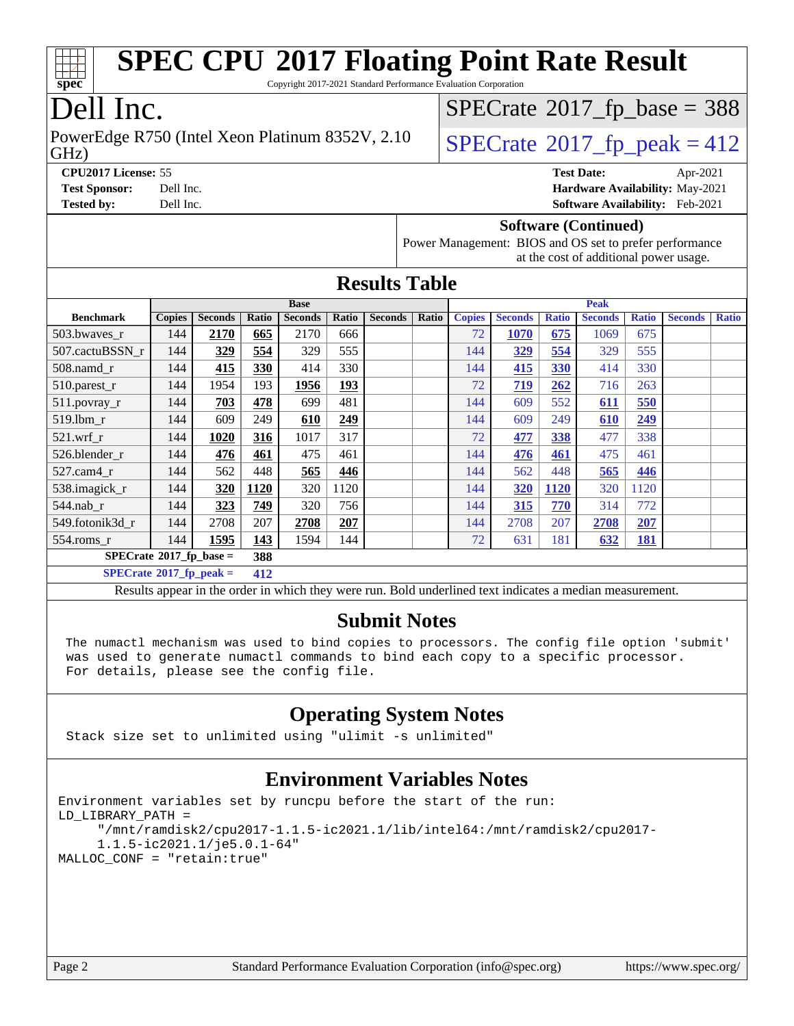| spec®<br>Dell Inc.<br>$SPECrate^{\circ}2017$ _fp_base = 388                                                                      |                                                                                 |                |            |                                                                                                          |            |                |                      |               |                |              |                                 |                   |                |              |
|----------------------------------------------------------------------------------------------------------------------------------|---------------------------------------------------------------------------------|----------------|------------|----------------------------------------------------------------------------------------------------------|------------|----------------|----------------------|---------------|----------------|--------------|---------------------------------|-------------------|----------------|--------------|
| PowerEdge R750 (Intel Xeon Platinum 8352V, 2.10)<br>$SPECTate@2017_fp\_peak = 412$                                               |                                                                                 |                |            |                                                                                                          |            |                |                      |               |                |              |                                 |                   |                |              |
| GHz)                                                                                                                             |                                                                                 |                |            |                                                                                                          |            |                |                      |               |                |              |                                 |                   |                |              |
| CPU2017 License: 55<br><b>Test Date:</b><br>Apr-2021                                                                             |                                                                                 |                |            |                                                                                                          |            |                |                      |               |                |              |                                 |                   |                |              |
| <b>Test Sponsor:</b>                                                                                                             | Dell Inc.                                                                       |                |            |                                                                                                          |            |                |                      |               |                |              | Hardware Availability: May-2021 |                   |                |              |
| <b>Tested by:</b><br>Dell Inc.<br>Software Availability: Feb-2021                                                                |                                                                                 |                |            |                                                                                                          |            |                |                      |               |                |              |                                 |                   |                |              |
| <b>Software (Continued)</b><br>Power Management: BIOS and OS set to prefer performance<br>at the cost of additional power usage. |                                                                                 |                |            |                                                                                                          |            |                |                      |               |                |              |                                 |                   |                |              |
|                                                                                                                                  |                                                                                 |                |            |                                                                                                          |            |                | <b>Results Table</b> |               |                |              |                                 |                   |                |              |
|                                                                                                                                  |                                                                                 |                |            | <b>Base</b>                                                                                              |            |                |                      |               |                |              | Peak                            |                   |                |              |
| <b>Benchmark</b>                                                                                                                 | <b>Copies</b>                                                                   | <b>Seconds</b> | Ratio      | <b>Seconds</b>                                                                                           | Ratio      | <b>Seconds</b> | <b>Ratio</b>         | <b>Copies</b> | <b>Seconds</b> | <b>Ratio</b> | <b>Seconds</b>                  | <b>Ratio</b>      | <b>Seconds</b> | <b>Ratio</b> |
| 503.bwaves_r                                                                                                                     | 144                                                                             | 2170           | 665        | 2170                                                                                                     | 666        |                |                      | 72            | 1070           | 675          | 1069                            | 675               |                |              |
| 507.cactuBSSN r                                                                                                                  | 144                                                                             | 329            | 554        | 329                                                                                                      | 555        |                |                      | 144           | 329            | 554          | 329                             | 555               |                |              |
| 508.namd_r                                                                                                                       | 144                                                                             | 415            | 330        | 414                                                                                                      | 330        |                |                      | 144           | 415            | <b>330</b>   | 414                             | 330               |                |              |
| 510.parest_r                                                                                                                     | 144                                                                             | 1954           | 193        | 1956                                                                                                     | 193        |                |                      | 72            | 719            | 262          | 716                             | 263               |                |              |
| 511.povray_r                                                                                                                     | 144                                                                             | 703            | 478        | 699                                                                                                      | 481        |                |                      | 144           | 609            | 552          | 611                             | 550               |                |              |
| 519.lbm r                                                                                                                        | 144                                                                             | 609            | 249        | 610                                                                                                      | 249        |                |                      | 144           | 609            | 249          | 610                             | 249               |                |              |
| $521.wrf_r$                                                                                                                      | 144                                                                             | 1020           | 316        | 1017                                                                                                     | 317        |                |                      | 72            | 477            | 338          | 477                             | 338               |                |              |
| 526.blender_r                                                                                                                    | 144                                                                             | 476            | 461        | 475                                                                                                      | 461        |                |                      | 144           | 476            | 461          | 475                             | 461               |                |              |
| 527.cam4_r                                                                                                                       | 144                                                                             | 562            | 448        | 565                                                                                                      | 446        |                |                      | 144           | 562            | 448          | 565                             | 446               |                |              |
| 538.imagick_r<br>320<br>1120<br>320<br>1120<br>144<br>1120<br>320<br>1120<br>144<br><b>320</b>                                   |                                                                                 |                |            |                                                                                                          |            |                |                      |               |                |              |                                 |                   |                |              |
| 549.fotonik3d_r                                                                                                                  | 323<br>749<br>756<br>772<br>544.nab r<br>144<br>320<br>144<br>315<br>770<br>314 |                |            |                                                                                                          |            |                |                      |               |                |              |                                 |                   |                |              |
| 554.roms_r                                                                                                                       | 144<br>144                                                                      | 2708<br>1595   | 207<br>143 | 2708<br>1594                                                                                             | 207<br>144 |                |                      | 144<br>72     | 2708<br>631    | 207<br>181   | 2708<br>632                     | 207<br><b>181</b> |                |              |
| $SPECrate$ <sup>®</sup> 2017_fp_base =                                                                                           |                                                                                 |                | 388        |                                                                                                          |            |                |                      |               |                |              |                                 |                   |                |              |
| $SPECTate^{\circ}2017$ _fp_peak =                                                                                                |                                                                                 |                | 412        |                                                                                                          |            |                |                      |               |                |              |                                 |                   |                |              |
|                                                                                                                                  |                                                                                 |                |            | Results appear in the order in which they were run. Bold underlined text indicates a median measurement. |            |                |                      |               |                |              |                                 |                   |                |              |
|                                                                                                                                  |                                                                                 |                |            |                                                                                                          |            |                |                      |               |                |              |                                 |                   |                |              |
|                                                                                                                                  |                                                                                 |                |            |                                                                                                          |            |                | <b>Submit Notes</b>  |               |                |              |                                 |                   |                |              |
| The numactl mechanism was used to bind copies to processors. The config file option 'submit'                                     |                                                                                 |                |            |                                                                                                          |            |                |                      |               |                |              |                                 |                   |                |              |
| was used to generate numactl commands to bind each copy to a specific processor.<br>For details, please see the config file.     |                                                                                 |                |            |                                                                                                          |            |                |                      |               |                |              |                                 |                   |                |              |
|                                                                                                                                  |                                                                                 |                |            |                                                                                                          |            |                |                      |               |                |              |                                 |                   |                |              |
| <b>Operating System Notes</b>                                                                                                    |                                                                                 |                |            |                                                                                                          |            |                |                      |               |                |              |                                 |                   |                |              |
| Stack size set to unlimited using "ulimit -s unlimited"                                                                          |                                                                                 |                |            |                                                                                                          |            |                |                      |               |                |              |                                 |                   |                |              |
| <b>Environment Variables Notes</b>                                                                                               |                                                                                 |                |            |                                                                                                          |            |                |                      |               |                |              |                                 |                   |                |              |
|                                                                                                                                  |                                                                                 |                |            |                                                                                                          |            |                |                      |               |                |              |                                 |                   |                |              |
| Environment variables set by runcpu before the start of the run:<br>LD_LIBRARY_PATH =                                            |                                                                                 |                |            |                                                                                                          |            |                |                      |               |                |              |                                 |                   |                |              |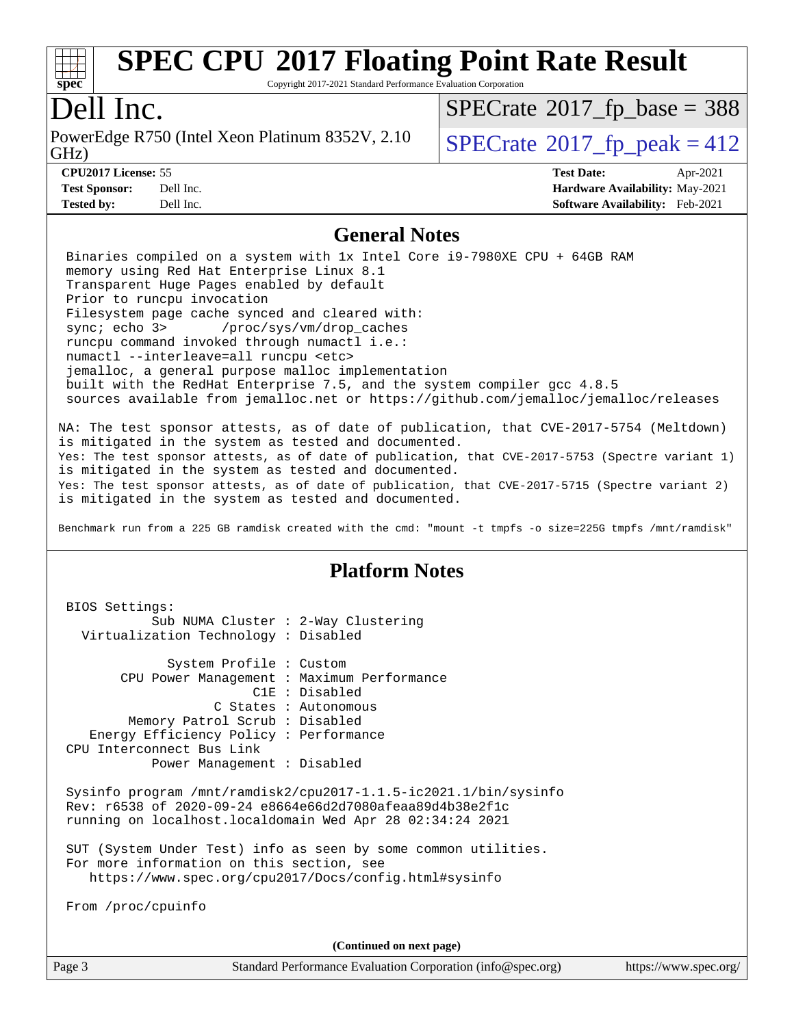

Copyright 2017-2021 Standard Performance Evaluation Corporation

## Dell Inc.

GHz) PowerEdge R750 (Intel Xeon Platinum 8352V, 2.10  $\big|$  [SPECrate](http://www.spec.org/auto/cpu2017/Docs/result-fields.html#SPECrate2017fppeak)®[2017\\_fp\\_peak = 4](http://www.spec.org/auto/cpu2017/Docs/result-fields.html#SPECrate2017fppeak)12

 $SPECTate$ <sup>®</sup>[2017\\_fp\\_base =](http://www.spec.org/auto/cpu2017/Docs/result-fields.html#SPECrate2017fpbase) 388

**[Tested by:](http://www.spec.org/auto/cpu2017/Docs/result-fields.html#Testedby)** Dell Inc. **[Software Availability:](http://www.spec.org/auto/cpu2017/Docs/result-fields.html#SoftwareAvailability)** Feb-2021

**[CPU2017 License:](http://www.spec.org/auto/cpu2017/Docs/result-fields.html#CPU2017License)** 55 **[Test Date:](http://www.spec.org/auto/cpu2017/Docs/result-fields.html#TestDate)** Apr-2021 **[Test Sponsor:](http://www.spec.org/auto/cpu2017/Docs/result-fields.html#TestSponsor)** Dell Inc. **[Hardware Availability:](http://www.spec.org/auto/cpu2017/Docs/result-fields.html#HardwareAvailability)** May-2021

#### **[General Notes](http://www.spec.org/auto/cpu2017/Docs/result-fields.html#GeneralNotes)**

 Binaries compiled on a system with 1x Intel Core i9-7980XE CPU + 64GB RAM memory using Red Hat Enterprise Linux 8.1 Transparent Huge Pages enabled by default Prior to runcpu invocation Filesystem page cache synced and cleared with: sync; echo 3> /proc/sys/vm/drop\_caches runcpu command invoked through numactl i.e.: numactl --interleave=all runcpu <etc> jemalloc, a general purpose malloc implementation built with the RedHat Enterprise 7.5, and the system compiler gcc 4.8.5 sources available from jemalloc.net or <https://github.com/jemalloc/jemalloc/releases>

NA: The test sponsor attests, as of date of publication, that CVE-2017-5754 (Meltdown) is mitigated in the system as tested and documented. Yes: The test sponsor attests, as of date of publication, that CVE-2017-5753 (Spectre variant 1) is mitigated in the system as tested and documented. Yes: The test sponsor attests, as of date of publication, that CVE-2017-5715 (Spectre variant 2) is mitigated in the system as tested and documented.

Benchmark run from a 225 GB ramdisk created with the cmd: "mount -t tmpfs -o size=225G tmpfs /mnt/ramdisk"

### **[Platform Notes](http://www.spec.org/auto/cpu2017/Docs/result-fields.html#PlatformNotes)**

 BIOS Settings: Sub NUMA Cluster : 2-Way Clustering Virtualization Technology : Disabled System Profile : Custom CPU Power Management : Maximum Performance C1E : Disabled C States : Autonomous Memory Patrol Scrub : Disabled Energy Efficiency Policy : Performance CPU Interconnect Bus Link Power Management : Disabled Sysinfo program /mnt/ramdisk2/cpu2017-1.1.5-ic2021.1/bin/sysinfo Rev: r6538 of 2020-09-24 e8664e66d2d7080afeaa89d4b38e2f1c running on localhost.localdomain Wed Apr 28 02:34:24 2021 SUT (System Under Test) info as seen by some common utilities. For more information on this section, see <https://www.spec.org/cpu2017/Docs/config.html#sysinfo> From /proc/cpuinfo **(Continued on next page)**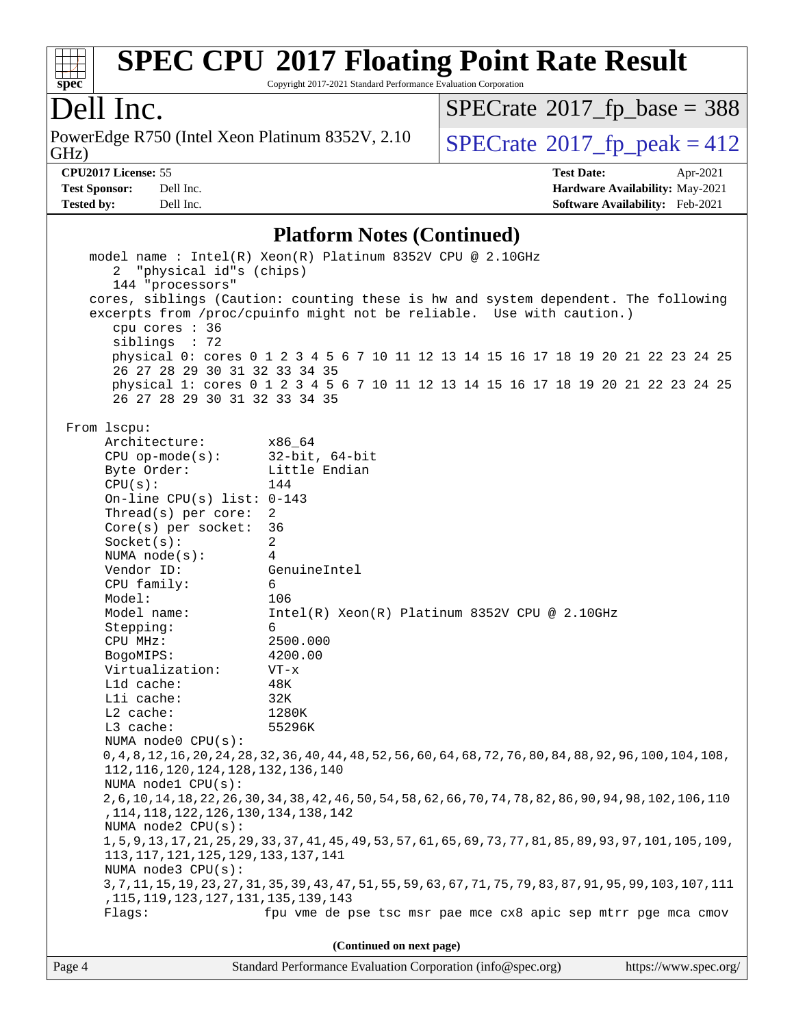

Copyright 2017-2021 Standard Performance Evaluation Corporation

## Dell Inc.

PowerEdge R750 (Intel Xeon Platinum 8352V, 2.10<br>GHz)

 $SPECrate$ <sup>®</sup>[2017\\_fp\\_base =](http://www.spec.org/auto/cpu2017/Docs/result-fields.html#SPECrate2017fpbase) 388

 $SPECTate@2017_fp\_peak = 412$ 

**[CPU2017 License:](http://www.spec.org/auto/cpu2017/Docs/result-fields.html#CPU2017License)** 55 **[Test Date:](http://www.spec.org/auto/cpu2017/Docs/result-fields.html#TestDate)** Apr-2021

**[Test Sponsor:](http://www.spec.org/auto/cpu2017/Docs/result-fields.html#TestSponsor)** Dell Inc. **[Hardware Availability:](http://www.spec.org/auto/cpu2017/Docs/result-fields.html#HardwareAvailability)** May-2021 **[Tested by:](http://www.spec.org/auto/cpu2017/Docs/result-fields.html#Testedby)** Dell Inc. **[Software Availability:](http://www.spec.org/auto/cpu2017/Docs/result-fields.html#SoftwareAvailability)** Feb-2021

#### **[Platform Notes \(Continued\)](http://www.spec.org/auto/cpu2017/Docs/result-fields.html#PlatformNotes)**

|                                                                                                                 | model name : Intel(R) Xeon(R) Platinum 8352V CPU @ 2.10GHz                         |  |  |  |  |  |
|-----------------------------------------------------------------------------------------------------------------|------------------------------------------------------------------------------------|--|--|--|--|--|
| $2^{\circ}$<br>"physical id"s (chips)                                                                           |                                                                                    |  |  |  |  |  |
| 144 "processors"                                                                                                |                                                                                    |  |  |  |  |  |
|                                                                                                                 | cores, siblings (Caution: counting these is hw and system dependent. The following |  |  |  |  |  |
|                                                                                                                 | excerpts from /proc/cpuinfo might not be reliable. Use with caution.)              |  |  |  |  |  |
| cpu cores : 36                                                                                                  |                                                                                    |  |  |  |  |  |
| siblings : 72                                                                                                   |                                                                                    |  |  |  |  |  |
|                                                                                                                 | physical 0: cores 0 1 2 3 4 5 6 7 10 11 12 13 14 15 16 17 18 19 20 21 22 23 24 25  |  |  |  |  |  |
| 26 27 28 29 30 31 32 33 34 35                                                                                   |                                                                                    |  |  |  |  |  |
|                                                                                                                 | physical 1: cores 0 1 2 3 4 5 6 7 10 11 12 13 14 15 16 17 18 19 20 21 22 23 24 25  |  |  |  |  |  |
| 26 27 28 29 30 31 32 33 34 35                                                                                   |                                                                                    |  |  |  |  |  |
|                                                                                                                 |                                                                                    |  |  |  |  |  |
| From 1scpu:                                                                                                     |                                                                                    |  |  |  |  |  |
| Architecture:                                                                                                   | x86_64                                                                             |  |  |  |  |  |
|                                                                                                                 |                                                                                    |  |  |  |  |  |
| CPU op-mode(s): $32-bit, 64-bit$                                                                                |                                                                                    |  |  |  |  |  |
| Byte Order:                                                                                                     | Little Endian                                                                      |  |  |  |  |  |
| CPU(s):                                                                                                         | 144                                                                                |  |  |  |  |  |
| On-line CPU(s) list: $0-143$                                                                                    |                                                                                    |  |  |  |  |  |
| Thread(s) per core:                                                                                             | $\overline{2}$                                                                     |  |  |  |  |  |
| Core(s) per socket:                                                                                             | 36                                                                                 |  |  |  |  |  |
| Socket(s):                                                                                                      | 2                                                                                  |  |  |  |  |  |
| NUMA node(s):                                                                                                   | 4                                                                                  |  |  |  |  |  |
| Vendor ID:                                                                                                      | GenuineIntel                                                                       |  |  |  |  |  |
| CPU family:                                                                                                     | 6                                                                                  |  |  |  |  |  |
| Model:                                                                                                          | 106                                                                                |  |  |  |  |  |
| Model name:                                                                                                     | $Intel(R) Xeon(R) Platinum 8352V CPU @ 2.10GHz$                                    |  |  |  |  |  |
| Stepping:                                                                                                       | 6                                                                                  |  |  |  |  |  |
| CPU MHz:                                                                                                        | 2500.000                                                                           |  |  |  |  |  |
| BogoMIPS:                                                                                                       | 4200.00                                                                            |  |  |  |  |  |
| Virtualization:                                                                                                 | $VT - x$                                                                           |  |  |  |  |  |
| L1d cache:                                                                                                      | 48K                                                                                |  |  |  |  |  |
| Lli cache:                                                                                                      | 32K                                                                                |  |  |  |  |  |
| $L2$ cache:                                                                                                     | 1280K                                                                              |  |  |  |  |  |
| $L3$ cache:                                                                                                     | 55296K                                                                             |  |  |  |  |  |
| NUMA node0 CPU(s):                                                                                              |                                                                                    |  |  |  |  |  |
| 0, 4, 8, 12, 16, 20, 24, 28, 32, 36, 40, 44, 48, 52, 56, 60, 64, 68, 72, 76, 80, 84, 88, 92, 96, 100, 104, 108, |                                                                                    |  |  |  |  |  |
| 112, 116, 120, 124, 128, 132, 136, 140                                                                          |                                                                                    |  |  |  |  |  |
| NUMA nodel CPU(s):                                                                                              |                                                                                    |  |  |  |  |  |
| 2,6,10,14,18,22,26,30,34,38,42,46,50,54,58,62,66,70,74,78,82,86,90,94,98,102,106,110                            |                                                                                    |  |  |  |  |  |
|                                                                                                                 | , 114, 118, 122, 126, 130, 134, 138, 142                                           |  |  |  |  |  |
| NUMA node2 CPU(s):                                                                                              |                                                                                    |  |  |  |  |  |
| 1, 5, 9, 13, 17, 21, 25, 29, 33, 37, 41, 45, 49, 53, 57, 61, 65, 69, 73, 77, 81, 85, 89, 93, 97, 101, 105, 109  |                                                                                    |  |  |  |  |  |
| 113, 117, 121, 125, 129, 133, 137, 141                                                                          |                                                                                    |  |  |  |  |  |
| NUMA node3 CPU(s):                                                                                              |                                                                                    |  |  |  |  |  |
| 3,7,11,15,19,23,27,31,35,39,43,47,51,55,59,63,67,71,75,79,83,87,91,95,99,103,107,111                            |                                                                                    |  |  |  |  |  |
| , 115, 119, 123, 127, 131, 135, 139, 143                                                                        |                                                                                    |  |  |  |  |  |
| fpu vme de pse tsc msr pae mce cx8 apic sep mtrr pge mca cmov<br>Flaqs:                                         |                                                                                    |  |  |  |  |  |
|                                                                                                                 |                                                                                    |  |  |  |  |  |
|                                                                                                                 |                                                                                    |  |  |  |  |  |
|                                                                                                                 | (Continued on next page)                                                           |  |  |  |  |  |

| Page 4 | Standard Performance Evaluation Corporation (info@spec.org) | https://www.spec.org/ |
|--------|-------------------------------------------------------------|-----------------------|
|--------|-------------------------------------------------------------|-----------------------|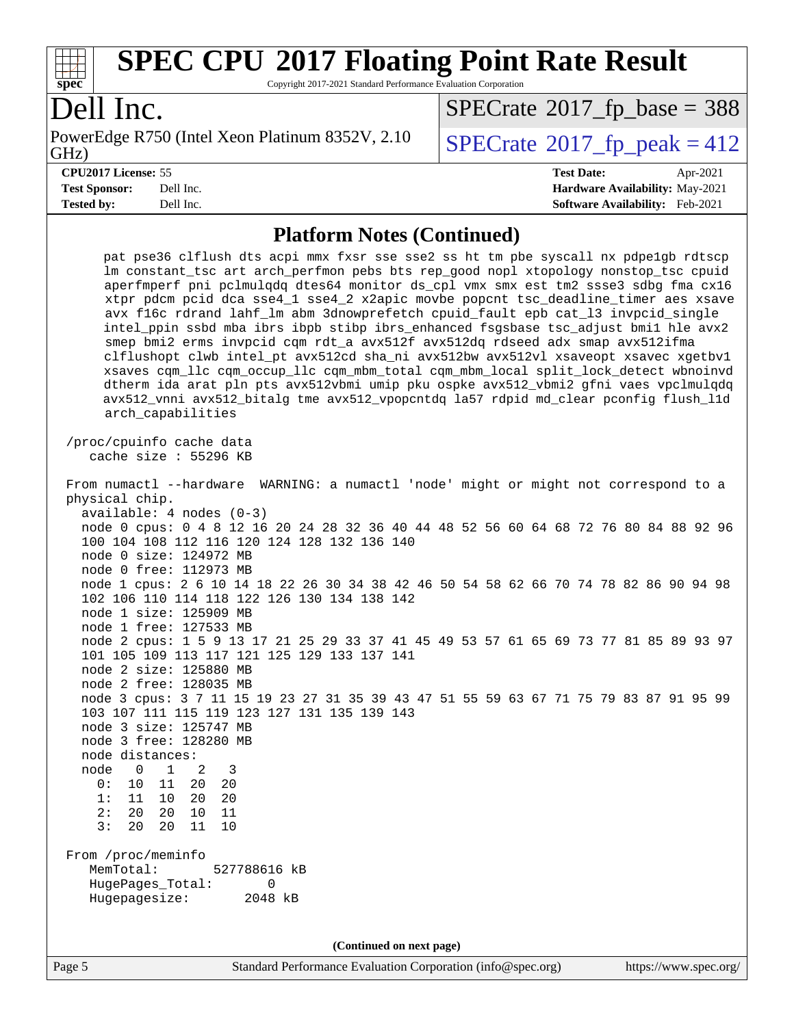

Copyright 2017-2021 Standard Performance Evaluation Corporation

## Dell Inc.

PowerEdge R750 (Intel Xeon Platinum 8352V, 2.10<br>GHz)

 $SPECTate$ <sup>®</sup>[2017\\_fp\\_peak = 4](http://www.spec.org/auto/cpu2017/Docs/result-fields.html#SPECrate2017fppeak)12  $SPECTate$ <sup>®</sup>[2017\\_fp\\_base =](http://www.spec.org/auto/cpu2017/Docs/result-fields.html#SPECrate2017fpbase) 388

**[Tested by:](http://www.spec.org/auto/cpu2017/Docs/result-fields.html#Testedby)** Dell Inc. **[Software Availability:](http://www.spec.org/auto/cpu2017/Docs/result-fields.html#SoftwareAvailability)** Feb-2021

**[CPU2017 License:](http://www.spec.org/auto/cpu2017/Docs/result-fields.html#CPU2017License)** 55 **[Test Date:](http://www.spec.org/auto/cpu2017/Docs/result-fields.html#TestDate)** Apr-2021 **[Test Sponsor:](http://www.spec.org/auto/cpu2017/Docs/result-fields.html#TestSponsor)** Dell Inc. **[Hardware Availability:](http://www.spec.org/auto/cpu2017/Docs/result-fields.html#HardwareAvailability)** May-2021

#### **[Platform Notes \(Continued\)](http://www.spec.org/auto/cpu2017/Docs/result-fields.html#PlatformNotes)**

| /proc/cpuinfo cache data<br>cache size : 55296 KB<br>From numactl --hardware WARNING: a numactl 'node' might or might not correspond to a<br>physical chip.<br>$available: 4 nodes (0-3)$<br>node 0 cpus: 0 4 8 12 16 20 24 28 32 36 40 44 48 52 56 60 64 68 72 76 80 84 88 92 96<br>100 104 108 112 116 120 124 128 132 136 140<br>node 0 size: 124972 MB<br>node 0 free: 112973 MB<br>node 1 cpus: 2 6 10 14 18 22 26 30 34 38 42 46 50 54 58 62 66 70 74 78 82 86 90 94 98<br>102 106 110 114 118 122 126 130 134 138 142<br>node 1 size: 125909 MB<br>node 1 free: 127533 MB<br>node 2 cpus: 1 5 9 13 17 21 25 29 33 37 41 45 49 53 57 61 65 69 73 77 81 85 89 93 97<br>101 105 109 113 117 121 125 129 133 137 141<br>node 2 size: 125880 MB<br>node 2 free: 128035 MB<br>node 3 cpus: 3 7 11 15 19 23 27 31 35 39 43 47 51 55 59 63 67 71 75 79 83 87 91 95 99<br>103 107 111 115 119 123 127 131 135 139 143<br>node 3 size: 125747 MB<br>node 3 free: 128280 MB<br>node distances:<br>node 0 1<br>$\overline{\phantom{a}}^2$<br>3<br>0:<br>10 11<br>20<br>20<br>1:<br>11 10<br>20<br>20<br>2:<br>20<br>20<br>10<br>11<br>3:<br>20<br>20<br>11<br>10<br>From /proc/meminfo<br>MemTotal:<br>527788616 kB<br>HugePages_Total:<br>0<br>Hugepagesize:<br>2048 kB<br>(Continued on next page) | pat pse36 clflush dts acpi mmx fxsr sse sse2 ss ht tm pbe syscall nx pdpelgb rdtscp<br>lm constant_tsc art arch_perfmon pebs bts rep_good nopl xtopology nonstop_tsc cpuid<br>aperfmperf pni pclmulqdq dtes64 monitor ds_cpl vmx smx est tm2 ssse3 sdbg fma cx16<br>xtpr pdcm pcid dca sse4_1 sse4_2 x2apic movbe popcnt tsc_deadline_timer aes xsave<br>avx f16c rdrand lahf_lm abm 3dnowprefetch cpuid_fault epb cat_13 invpcid_single<br>intel_ppin ssbd mba ibrs ibpb stibp ibrs_enhanced fsgsbase tsc_adjust bmil hle avx2<br>smep bmi2 erms invpcid cqm rdt_a avx512f avx512dq rdseed adx smap avx512ifma<br>clflushopt clwb intel_pt avx512cd sha_ni avx512bw avx512vl xsaveopt xsavec xgetbvl<br>xsaves cqm_llc cqm_occup_llc cqm_mbm_total cqm_mbm_local split_lock_detect wbnoinvd<br>dtherm ida arat pln pts avx512vbmi umip pku ospke avx512_vbmi2 gfni vaes vpclmulqdq<br>avx512_vnni avx512_bitalg tme avx512_vpopcntdq la57 rdpid md_clear pconfig flush_11d<br>arch_capabilities |  |  |  |  |  |
|-------------------------------------------------------------------------------------------------------------------------------------------------------------------------------------------------------------------------------------------------------------------------------------------------------------------------------------------------------------------------------------------------------------------------------------------------------------------------------------------------------------------------------------------------------------------------------------------------------------------------------------------------------------------------------------------------------------------------------------------------------------------------------------------------------------------------------------------------------------------------------------------------------------------------------------------------------------------------------------------------------------------------------------------------------------------------------------------------------------------------------------------------------------------------------------------------------------------------------------------------------------------------------------------------|--------------------------------------------------------------------------------------------------------------------------------------------------------------------------------------------------------------------------------------------------------------------------------------------------------------------------------------------------------------------------------------------------------------------------------------------------------------------------------------------------------------------------------------------------------------------------------------------------------------------------------------------------------------------------------------------------------------------------------------------------------------------------------------------------------------------------------------------------------------------------------------------------------------------------------------------------------------------------------------------------|--|--|--|--|--|
|                                                                                                                                                                                                                                                                                                                                                                                                                                                                                                                                                                                                                                                                                                                                                                                                                                                                                                                                                                                                                                                                                                                                                                                                                                                                                                 |                                                                                                                                                                                                                                                                                                                                                                                                                                                                                                                                                                                                                                                                                                                                                                                                                                                                                                                                                                                                  |  |  |  |  |  |
|                                                                                                                                                                                                                                                                                                                                                                                                                                                                                                                                                                                                                                                                                                                                                                                                                                                                                                                                                                                                                                                                                                                                                                                                                                                                                                 |                                                                                                                                                                                                                                                                                                                                                                                                                                                                                                                                                                                                                                                                                                                                                                                                                                                                                                                                                                                                  |  |  |  |  |  |
|                                                                                                                                                                                                                                                                                                                                                                                                                                                                                                                                                                                                                                                                                                                                                                                                                                                                                                                                                                                                                                                                                                                                                                                                                                                                                                 |                                                                                                                                                                                                                                                                                                                                                                                                                                                                                                                                                                                                                                                                                                                                                                                                                                                                                                                                                                                                  |  |  |  |  |  |
|                                                                                                                                                                                                                                                                                                                                                                                                                                                                                                                                                                                                                                                                                                                                                                                                                                                                                                                                                                                                                                                                                                                                                                                                                                                                                                 |                                                                                                                                                                                                                                                                                                                                                                                                                                                                                                                                                                                                                                                                                                                                                                                                                                                                                                                                                                                                  |  |  |  |  |  |
|                                                                                                                                                                                                                                                                                                                                                                                                                                                                                                                                                                                                                                                                                                                                                                                                                                                                                                                                                                                                                                                                                                                                                                                                                                                                                                 |                                                                                                                                                                                                                                                                                                                                                                                                                                                                                                                                                                                                                                                                                                                                                                                                                                                                                                                                                                                                  |  |  |  |  |  |
|                                                                                                                                                                                                                                                                                                                                                                                                                                                                                                                                                                                                                                                                                                                                                                                                                                                                                                                                                                                                                                                                                                                                                                                                                                                                                                 |                                                                                                                                                                                                                                                                                                                                                                                                                                                                                                                                                                                                                                                                                                                                                                                                                                                                                                                                                                                                  |  |  |  |  |  |
|                                                                                                                                                                                                                                                                                                                                                                                                                                                                                                                                                                                                                                                                                                                                                                                                                                                                                                                                                                                                                                                                                                                                                                                                                                                                                                 |                                                                                                                                                                                                                                                                                                                                                                                                                                                                                                                                                                                                                                                                                                                                                                                                                                                                                                                                                                                                  |  |  |  |  |  |
|                                                                                                                                                                                                                                                                                                                                                                                                                                                                                                                                                                                                                                                                                                                                                                                                                                                                                                                                                                                                                                                                                                                                                                                                                                                                                                 |                                                                                                                                                                                                                                                                                                                                                                                                                                                                                                                                                                                                                                                                                                                                                                                                                                                                                                                                                                                                  |  |  |  |  |  |
|                                                                                                                                                                                                                                                                                                                                                                                                                                                                                                                                                                                                                                                                                                                                                                                                                                                                                                                                                                                                                                                                                                                                                                                                                                                                                                 |                                                                                                                                                                                                                                                                                                                                                                                                                                                                                                                                                                                                                                                                                                                                                                                                                                                                                                                                                                                                  |  |  |  |  |  |
|                                                                                                                                                                                                                                                                                                                                                                                                                                                                                                                                                                                                                                                                                                                                                                                                                                                                                                                                                                                                                                                                                                                                                                                                                                                                                                 |                                                                                                                                                                                                                                                                                                                                                                                                                                                                                                                                                                                                                                                                                                                                                                                                                                                                                                                                                                                                  |  |  |  |  |  |
|                                                                                                                                                                                                                                                                                                                                                                                                                                                                                                                                                                                                                                                                                                                                                                                                                                                                                                                                                                                                                                                                                                                                                                                                                                                                                                 |                                                                                                                                                                                                                                                                                                                                                                                                                                                                                                                                                                                                                                                                                                                                                                                                                                                                                                                                                                                                  |  |  |  |  |  |
|                                                                                                                                                                                                                                                                                                                                                                                                                                                                                                                                                                                                                                                                                                                                                                                                                                                                                                                                                                                                                                                                                                                                                                                                                                                                                                 |                                                                                                                                                                                                                                                                                                                                                                                                                                                                                                                                                                                                                                                                                                                                                                                                                                                                                                                                                                                                  |  |  |  |  |  |
|                                                                                                                                                                                                                                                                                                                                                                                                                                                                                                                                                                                                                                                                                                                                                                                                                                                                                                                                                                                                                                                                                                                                                                                                                                                                                                 |                                                                                                                                                                                                                                                                                                                                                                                                                                                                                                                                                                                                                                                                                                                                                                                                                                                                                                                                                                                                  |  |  |  |  |  |
|                                                                                                                                                                                                                                                                                                                                                                                                                                                                                                                                                                                                                                                                                                                                                                                                                                                                                                                                                                                                                                                                                                                                                                                                                                                                                                 |                                                                                                                                                                                                                                                                                                                                                                                                                                                                                                                                                                                                                                                                                                                                                                                                                                                                                                                                                                                                  |  |  |  |  |  |
|                                                                                                                                                                                                                                                                                                                                                                                                                                                                                                                                                                                                                                                                                                                                                                                                                                                                                                                                                                                                                                                                                                                                                                                                                                                                                                 |                                                                                                                                                                                                                                                                                                                                                                                                                                                                                                                                                                                                                                                                                                                                                                                                                                                                                                                                                                                                  |  |  |  |  |  |
|                                                                                                                                                                                                                                                                                                                                                                                                                                                                                                                                                                                                                                                                                                                                                                                                                                                                                                                                                                                                                                                                                                                                                                                                                                                                                                 |                                                                                                                                                                                                                                                                                                                                                                                                                                                                                                                                                                                                                                                                                                                                                                                                                                                                                                                                                                                                  |  |  |  |  |  |
|                                                                                                                                                                                                                                                                                                                                                                                                                                                                                                                                                                                                                                                                                                                                                                                                                                                                                                                                                                                                                                                                                                                                                                                                                                                                                                 |                                                                                                                                                                                                                                                                                                                                                                                                                                                                                                                                                                                                                                                                                                                                                                                                                                                                                                                                                                                                  |  |  |  |  |  |
|                                                                                                                                                                                                                                                                                                                                                                                                                                                                                                                                                                                                                                                                                                                                                                                                                                                                                                                                                                                                                                                                                                                                                                                                                                                                                                 |                                                                                                                                                                                                                                                                                                                                                                                                                                                                                                                                                                                                                                                                                                                                                                                                                                                                                                                                                                                                  |  |  |  |  |  |
|                                                                                                                                                                                                                                                                                                                                                                                                                                                                                                                                                                                                                                                                                                                                                                                                                                                                                                                                                                                                                                                                                                                                                                                                                                                                                                 |                                                                                                                                                                                                                                                                                                                                                                                                                                                                                                                                                                                                                                                                                                                                                                                                                                                                                                                                                                                                  |  |  |  |  |  |
|                                                                                                                                                                                                                                                                                                                                                                                                                                                                                                                                                                                                                                                                                                                                                                                                                                                                                                                                                                                                                                                                                                                                                                                                                                                                                                 |                                                                                                                                                                                                                                                                                                                                                                                                                                                                                                                                                                                                                                                                                                                                                                                                                                                                                                                                                                                                  |  |  |  |  |  |
|                                                                                                                                                                                                                                                                                                                                                                                                                                                                                                                                                                                                                                                                                                                                                                                                                                                                                                                                                                                                                                                                                                                                                                                                                                                                                                 |                                                                                                                                                                                                                                                                                                                                                                                                                                                                                                                                                                                                                                                                                                                                                                                                                                                                                                                                                                                                  |  |  |  |  |  |
|                                                                                                                                                                                                                                                                                                                                                                                                                                                                                                                                                                                                                                                                                                                                                                                                                                                                                                                                                                                                                                                                                                                                                                                                                                                                                                 |                                                                                                                                                                                                                                                                                                                                                                                                                                                                                                                                                                                                                                                                                                                                                                                                                                                                                                                                                                                                  |  |  |  |  |  |
|                                                                                                                                                                                                                                                                                                                                                                                                                                                                                                                                                                                                                                                                                                                                                                                                                                                                                                                                                                                                                                                                                                                                                                                                                                                                                                 |                                                                                                                                                                                                                                                                                                                                                                                                                                                                                                                                                                                                                                                                                                                                                                                                                                                                                                                                                                                                  |  |  |  |  |  |
|                                                                                                                                                                                                                                                                                                                                                                                                                                                                                                                                                                                                                                                                                                                                                                                                                                                                                                                                                                                                                                                                                                                                                                                                                                                                                                 |                                                                                                                                                                                                                                                                                                                                                                                                                                                                                                                                                                                                                                                                                                                                                                                                                                                                                                                                                                                                  |  |  |  |  |  |
|                                                                                                                                                                                                                                                                                                                                                                                                                                                                                                                                                                                                                                                                                                                                                                                                                                                                                                                                                                                                                                                                                                                                                                                                                                                                                                 |                                                                                                                                                                                                                                                                                                                                                                                                                                                                                                                                                                                                                                                                                                                                                                                                                                                                                                                                                                                                  |  |  |  |  |  |
|                                                                                                                                                                                                                                                                                                                                                                                                                                                                                                                                                                                                                                                                                                                                                                                                                                                                                                                                                                                                                                                                                                                                                                                                                                                                                                 |                                                                                                                                                                                                                                                                                                                                                                                                                                                                                                                                                                                                                                                                                                                                                                                                                                                                                                                                                                                                  |  |  |  |  |  |
|                                                                                                                                                                                                                                                                                                                                                                                                                                                                                                                                                                                                                                                                                                                                                                                                                                                                                                                                                                                                                                                                                                                                                                                                                                                                                                 |                                                                                                                                                                                                                                                                                                                                                                                                                                                                                                                                                                                                                                                                                                                                                                                                                                                                                                                                                                                                  |  |  |  |  |  |
|                                                                                                                                                                                                                                                                                                                                                                                                                                                                                                                                                                                                                                                                                                                                                                                                                                                                                                                                                                                                                                                                                                                                                                                                                                                                                                 |                                                                                                                                                                                                                                                                                                                                                                                                                                                                                                                                                                                                                                                                                                                                                                                                                                                                                                                                                                                                  |  |  |  |  |  |
|                                                                                                                                                                                                                                                                                                                                                                                                                                                                                                                                                                                                                                                                                                                                                                                                                                                                                                                                                                                                                                                                                                                                                                                                                                                                                                 |                                                                                                                                                                                                                                                                                                                                                                                                                                                                                                                                                                                                                                                                                                                                                                                                                                                                                                                                                                                                  |  |  |  |  |  |
|                                                                                                                                                                                                                                                                                                                                                                                                                                                                                                                                                                                                                                                                                                                                                                                                                                                                                                                                                                                                                                                                                                                                                                                                                                                                                                 |                                                                                                                                                                                                                                                                                                                                                                                                                                                                                                                                                                                                                                                                                                                                                                                                                                                                                                                                                                                                  |  |  |  |  |  |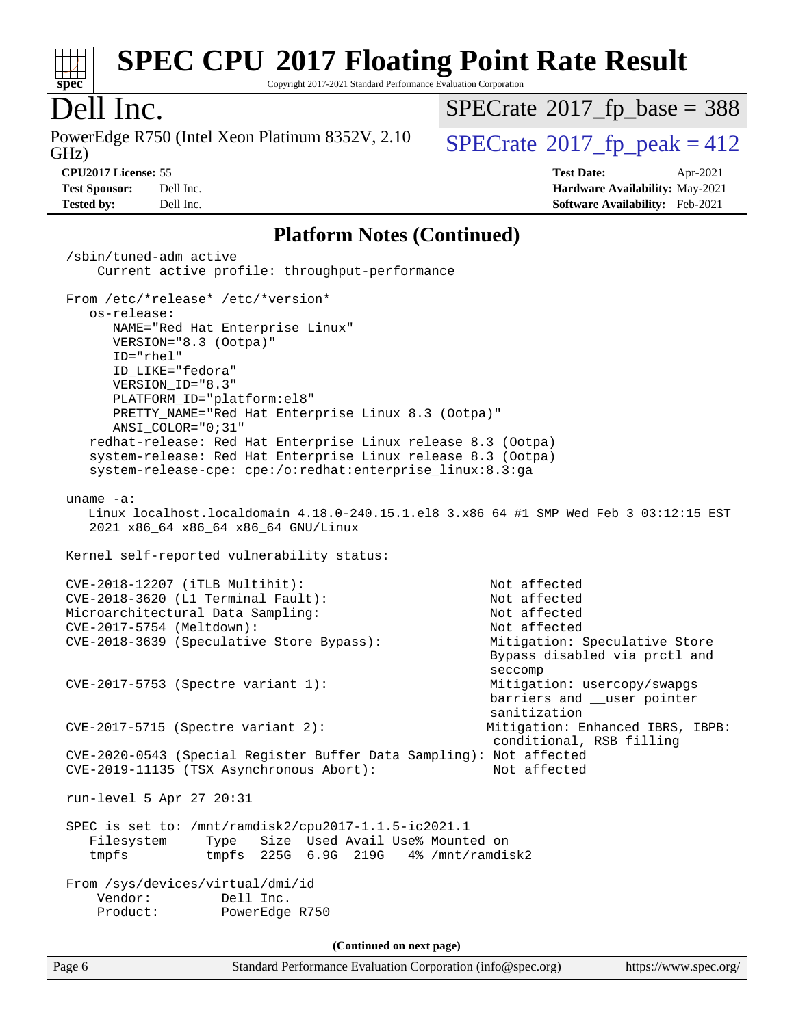

Copyright 2017-2021 Standard Performance Evaluation Corporation

## Dell Inc.

GHz) PowerEdge R750 (Intel Xeon Platinum 8352V, 2.10  $\big|$  [SPECrate](http://www.spec.org/auto/cpu2017/Docs/result-fields.html#SPECrate2017fppeak)®[2017\\_fp\\_peak = 4](http://www.spec.org/auto/cpu2017/Docs/result-fields.html#SPECrate2017fppeak)12

 $SPECTate$ <sup>®</sup>[2017\\_fp\\_base =](http://www.spec.org/auto/cpu2017/Docs/result-fields.html#SPECrate2017fpbase) 388

**[Test Sponsor:](http://www.spec.org/auto/cpu2017/Docs/result-fields.html#TestSponsor)** Dell Inc. **[Hardware Availability:](http://www.spec.org/auto/cpu2017/Docs/result-fields.html#HardwareAvailability)** May-2021 **[Tested by:](http://www.spec.org/auto/cpu2017/Docs/result-fields.html#Testedby)** Dell Inc. **[Software Availability:](http://www.spec.org/auto/cpu2017/Docs/result-fields.html#SoftwareAvailability)** Feb-2021

**[CPU2017 License:](http://www.spec.org/auto/cpu2017/Docs/result-fields.html#CPU2017License)** 55 **[Test Date:](http://www.spec.org/auto/cpu2017/Docs/result-fields.html#TestDate)** Apr-2021

#### **[Platform Notes \(Continued\)](http://www.spec.org/auto/cpu2017/Docs/result-fields.html#PlatformNotes)**

Page 6 Standard Performance Evaluation Corporation [\(info@spec.org\)](mailto:info@spec.org) <https://www.spec.org/> /sbin/tuned-adm active Current active profile: throughput-performance From /etc/\*release\* /etc/\*version\* os-release: NAME="Red Hat Enterprise Linux" VERSION="8.3 (Ootpa)" ID="rhel" ID\_LIKE="fedora" VERSION\_ID="8.3" PLATFORM\_ID="platform:el8" PRETTY\_NAME="Red Hat Enterprise Linux 8.3 (Ootpa)" ANSI\_COLOR="0;31" redhat-release: Red Hat Enterprise Linux release 8.3 (Ootpa) system-release: Red Hat Enterprise Linux release 8.3 (Ootpa) system-release-cpe: cpe:/o:redhat:enterprise\_linux:8.3:ga uname -a: Linux localhost.localdomain 4.18.0-240.15.1.el8\_3.x86\_64 #1 SMP Wed Feb 3 03:12:15 EST 2021 x86\_64 x86\_64 x86\_64 GNU/Linux Kernel self-reported vulnerability status: CVE-2018-12207 (iTLB Multihit): Not affected CVE-2018-3620 (L1 Terminal Fault): Not affected Microarchitectural Data Sampling: Not affected CVE-2017-5754 (Meltdown): Not affected CVE-2018-3639 (Speculative Store Bypass): Mitigation: Speculative Store Bypass disabled via prctl and seccompany and the contract of the contract of the contract of the second seconds of the contract of the contract of the contract of the contract of the contract of the contract of the contract of the contract of the contr CVE-2017-5753 (Spectre variant 1): Mitigation: usercopy/swapgs barriers and \_\_user pointer sanitization CVE-2017-5715 (Spectre variant 2): Mitigation: Enhanced IBRS, IBPB: conditional, RSB filling CVE-2020-0543 (Special Register Buffer Data Sampling): Not affected CVE-2019-11135 (TSX Asynchronous Abort): run-level 5 Apr 27 20:31 SPEC is set to: /mnt/ramdisk2/cpu2017-1.1.5-ic2021.1 Filesystem Type Size Used Avail Use% Mounted on tmpfs tmpfs 225G 6.9G 219G 4% /mnt/ramdisk2 From /sys/devices/virtual/dmi/id Vendor: Dell Inc. Product: PowerEdge R750 **(Continued on next page)**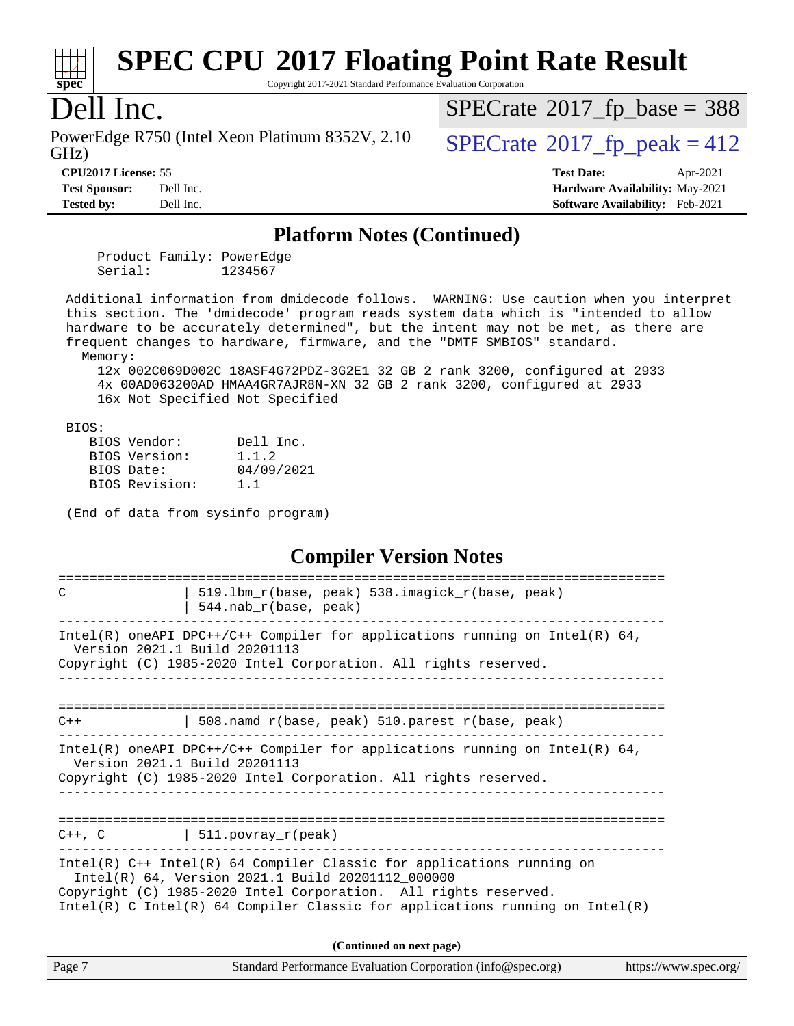

Copyright 2017-2021 Standard Performance Evaluation Corporation

### Dell Inc.

GHz) PowerEdge R750 (Intel Xeon Platinum 8352V, 2.10  $\big|$  [SPECrate](http://www.spec.org/auto/cpu2017/Docs/result-fields.html#SPECrate2017fppeak)®[2017\\_fp\\_peak = 4](http://www.spec.org/auto/cpu2017/Docs/result-fields.html#SPECrate2017fppeak)12

 $SPECTate$ <sup>®</sup>[2017\\_fp\\_base =](http://www.spec.org/auto/cpu2017/Docs/result-fields.html#SPECrate2017fpbase) 388

**[Tested by:](http://www.spec.org/auto/cpu2017/Docs/result-fields.html#Testedby)** Dell Inc. **[Software Availability:](http://www.spec.org/auto/cpu2017/Docs/result-fields.html#SoftwareAvailability)** Feb-2021

**[CPU2017 License:](http://www.spec.org/auto/cpu2017/Docs/result-fields.html#CPU2017License)** 55 **[Test Date:](http://www.spec.org/auto/cpu2017/Docs/result-fields.html#TestDate)** Apr-2021 **[Test Sponsor:](http://www.spec.org/auto/cpu2017/Docs/result-fields.html#TestSponsor)** Dell Inc. **[Hardware Availability:](http://www.spec.org/auto/cpu2017/Docs/result-fields.html#HardwareAvailability)** May-2021

#### **[Platform Notes \(Continued\)](http://www.spec.org/auto/cpu2017/Docs/result-fields.html#PlatformNotes)**

 Product Family: PowerEdge Serial: 1234567

 Additional information from dmidecode follows. WARNING: Use caution when you interpret this section. The 'dmidecode' program reads system data which is "intended to allow hardware to be accurately determined", but the intent may not be met, as there are frequent changes to hardware, firmware, and the "DMTF SMBIOS" standard.

Memory:

 12x 002C069D002C 18ASF4G72PDZ-3G2E1 32 GB 2 rank 3200, configured at 2933 4x 00AD063200AD HMAA4GR7AJR8N-XN 32 GB 2 rank 3200, configured at 2933 16x Not Specified Not Specified

BIOS:

|  | BIOS Vendor:   | Dell Inc.  |
|--|----------------|------------|
|  | BIOS Version:  | 1.1.2      |
|  | BIOS Date:     | 04/09/2021 |
|  | BIOS Revision: | 1.1        |
|  |                |            |

(End of data from sysinfo program)

#### **[Compiler Version Notes](http://www.spec.org/auto/cpu2017/Docs/result-fields.html#CompilerVersionNotes)**

| C      | 519.1bm_r(base, peak) 538.imagick_r(base, peak)<br>544.nab_r(base, peak)                                                                                                                                                                                                      |                       |
|--------|-------------------------------------------------------------------------------------------------------------------------------------------------------------------------------------------------------------------------------------------------------------------------------|-----------------------|
|        | Intel(R) oneAPI DPC++/C++ Compiler for applications running on Intel(R) $64$ ,<br>Version 2021.1 Build 20201113<br>Copyright (C) 1985-2020 Intel Corporation. All rights reserved.                                                                                            |                       |
|        |                                                                                                                                                                                                                                                                               |                       |
| $C++$  | 508.namd_r(base, peak) 510.parest_r(base, peak)                                                                                                                                                                                                                               |                       |
|        | $Intel(R)$ oneAPI DPC++/C++ Compiler for applications running on Intel(R) 64,<br>Version 2021.1 Build 20201113<br>Copyright (C) 1985-2020 Intel Corporation. All rights reserved.                                                                                             |                       |
|        | $C++$ , $C$   511.povray_r(peak)                                                                                                                                                                                                                                              |                       |
|        | Intel(R) C++ Intel(R) 64 Compiler Classic for applications running on<br>Intel(R) 64, Version 2021.1 Build 20201112_000000<br>Copyright (C) 1985-2020 Intel Corporation. All rights reserved.<br>Intel(R) C Intel(R) 64 Compiler Classic for applications running on Intel(R) |                       |
|        | (Continued on next page)                                                                                                                                                                                                                                                      |                       |
| Page 7 | Standard Performance Evaluation Corporation (info@spec.org)                                                                                                                                                                                                                   | https://www.spec.org/ |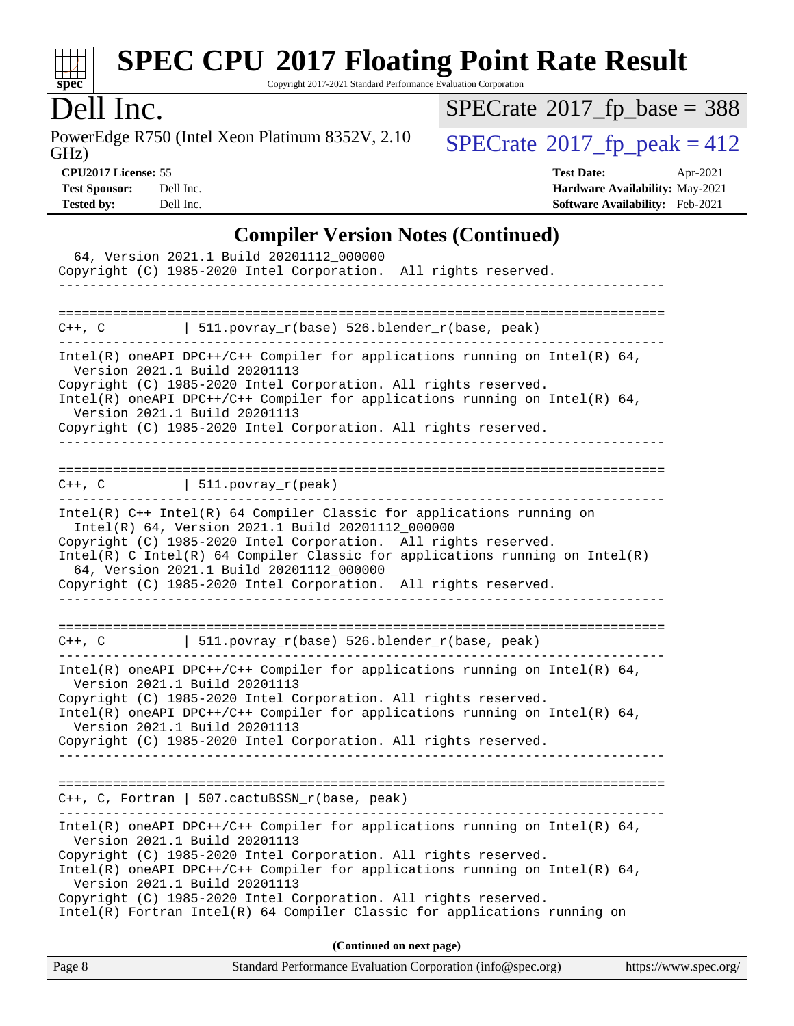

Copyright 2017-2021 Standard Performance Evaluation Corporation

## Dell Inc.

PowerEdge R750 (Intel Xeon Platinum 8352V, 2.10<br>GHz)

 $SPECTate@2017_fp\_peak = 412$  $SPECrate$ <sup>®</sup>[2017\\_fp\\_base =](http://www.spec.org/auto/cpu2017/Docs/result-fields.html#SPECrate2017fpbase) 388

**[Tested by:](http://www.spec.org/auto/cpu2017/Docs/result-fields.html#Testedby)** Dell Inc. **[Software Availability:](http://www.spec.org/auto/cpu2017/Docs/result-fields.html#SoftwareAvailability)** Feb-2021

**[CPU2017 License:](http://www.spec.org/auto/cpu2017/Docs/result-fields.html#CPU2017License)** 55 **[Test Date:](http://www.spec.org/auto/cpu2017/Docs/result-fields.html#TestDate)** Apr-2021 **[Test Sponsor:](http://www.spec.org/auto/cpu2017/Docs/result-fields.html#TestSponsor)** Dell Inc. **[Hardware Availability:](http://www.spec.org/auto/cpu2017/Docs/result-fields.html#HardwareAvailability)** May-2021

### **[Compiler Version Notes \(Continued\)](http://www.spec.org/auto/cpu2017/Docs/result-fields.html#CompilerVersionNotes)**

| $C++$ , C $\vert$ 511.povray_r(base) 526.blender_r(base, peak)<br>Intel(R) oneAPI DPC++/C++ Compiler for applications running on Intel(R) $64$ ,<br>Version 2021.1 Build 20201113                                                                                                                                                                                                                                                                    |
|------------------------------------------------------------------------------------------------------------------------------------------------------------------------------------------------------------------------------------------------------------------------------------------------------------------------------------------------------------------------------------------------------------------------------------------------------|
| Copyright (C) 1985-2020 Intel Corporation. All rights reserved.<br>Intel(R) oneAPI DPC++/C++ Compiler for applications running on Intel(R) $64$ ,<br>Version 2021.1 Build 20201113<br>Copyright (C) 1985-2020 Intel Corporation. All rights reserved.                                                                                                                                                                                                |
| $C++$ , C $\qquad \qquad$ 511.povray_r(peak)                                                                                                                                                                                                                                                                                                                                                                                                         |
| $Intel(R)$ C++ Intel(R) 64 Compiler Classic for applications running on<br>Intel(R) 64, Version 2021.1 Build 20201112_000000<br>Copyright (C) 1985-2020 Intel Corporation. All rights reserved.<br>$Intel(R)$ C Intel(R) 64 Compiler Classic for applications running on Intel(R)<br>64, Version 2021.1 Build 20201112_000000<br>Copyright (C) 1985-2020 Intel Corporation. All rights reserved.                                                     |
| $C++$ , C $\qquad$   511.povray_r(base) 526.blender_r(base, peak)                                                                                                                                                                                                                                                                                                                                                                                    |
| $Intel(R)$ oneAPI DPC++/C++ Compiler for applications running on Intel(R) 64,<br>Version 2021.1 Build 20201113<br>Copyright (C) 1985-2020 Intel Corporation. All rights reserved.<br>Intel(R) oneAPI DPC++/C++ Compiler for applications running on Intel(R) $64$ ,<br>Version 2021.1 Build 20201113<br>Copyright (C) 1985-2020 Intel Corporation. All rights reserved.                                                                              |
| $C++$ , C, Fortran   507.cactuBSSN_r(base, peak)<br>-------------------------------------<br>_______________________________                                                                                                                                                                                                                                                                                                                         |
| Intel(R) oneAPI DPC++/C++ Compiler for applications running on Intel(R) 64,<br>Version 2021.1 Build 20201113<br>Copyright (C) 1985-2020 Intel Corporation. All rights reserved.<br>Intel(R) oneAPI DPC++/C++ Compiler for applications running on Intel(R) $64$ ,<br>Version 2021.1 Build 20201113<br>Copyright (C) 1985-2020 Intel Corporation. All rights reserved.<br>$Intel(R)$ Fortran Intel(R) 64 Compiler Classic for applications running on |
| (Continued on next page)<br>Page 8<br>Standard Performance Evaluation Corporation (info@spec.org)<br>https://www.spec.org/                                                                                                                                                                                                                                                                                                                           |
|                                                                                                                                                                                                                                                                                                                                                                                                                                                      |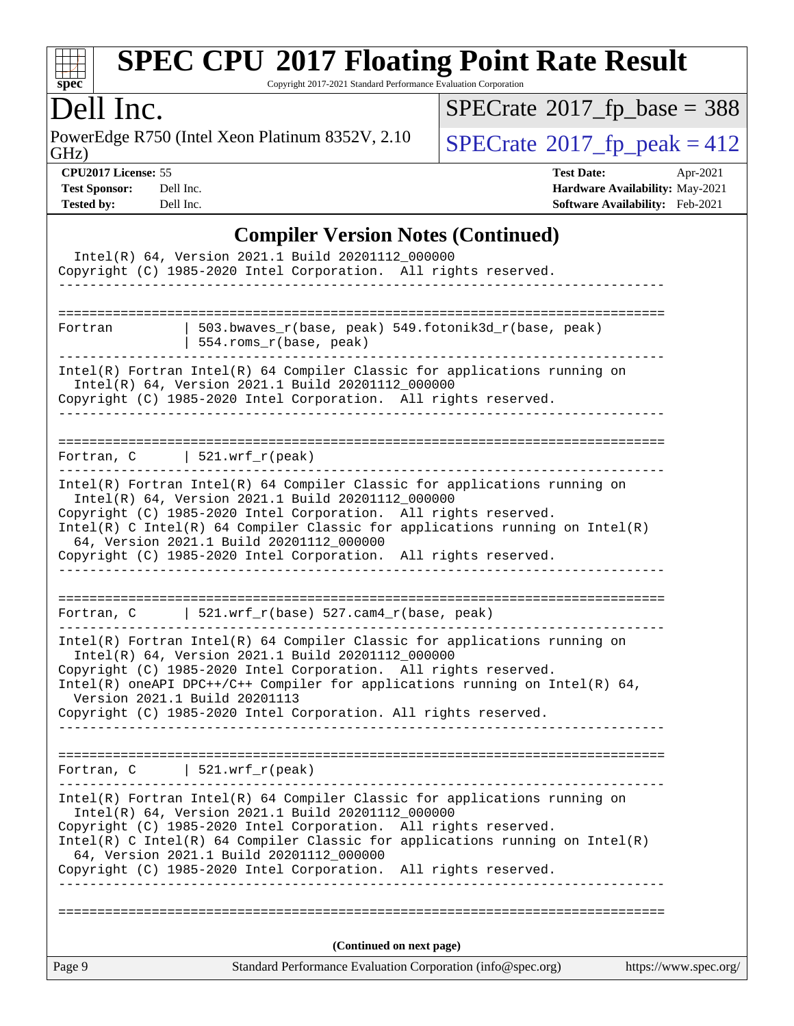

Copyright 2017-2021 Standard Performance Evaluation Corporation

## Dell Inc.

PowerEdge R750 (Intel Xeon Platinum 8352V, 2.10<br>GHz)

 $SPECTate$ <sup>®</sup>[2017\\_fp\\_peak = 4](http://www.spec.org/auto/cpu2017/Docs/result-fields.html#SPECrate2017fppeak)12  $SPECrate$ <sup>®</sup>[2017\\_fp\\_base =](http://www.spec.org/auto/cpu2017/Docs/result-fields.html#SPECrate2017fpbase) 388

**[CPU2017 License:](http://www.spec.org/auto/cpu2017/Docs/result-fields.html#CPU2017License)** 55 **[Test Date:](http://www.spec.org/auto/cpu2017/Docs/result-fields.html#TestDate)** Apr-2021 **[Test Sponsor:](http://www.spec.org/auto/cpu2017/Docs/result-fields.html#TestSponsor)** Dell Inc. **[Hardware Availability:](http://www.spec.org/auto/cpu2017/Docs/result-fields.html#HardwareAvailability)** May-2021 **[Tested by:](http://www.spec.org/auto/cpu2017/Docs/result-fields.html#Testedby)** Dell Inc. **[Software Availability:](http://www.spec.org/auto/cpu2017/Docs/result-fields.html#SoftwareAvailability)** Feb-2021

#### **[Compiler Version Notes \(Continued\)](http://www.spec.org/auto/cpu2017/Docs/result-fields.html#CompilerVersionNotes)**

|                                | Intel(R) 64, Version 2021.1 Build 20201112_000000<br>Copyright (C) 1985-2020 Intel Corporation. All rights reserved.<br>-----------------------------                                                                                                                                                                                                                                              |                                              |                       |
|--------------------------------|----------------------------------------------------------------------------------------------------------------------------------------------------------------------------------------------------------------------------------------------------------------------------------------------------------------------------------------------------------------------------------------------------|----------------------------------------------|-----------------------|
| Fortran                        | 503.bwaves_r(base, peak) 549.fotonik3d_r(base, peak)<br>554.roms_r(base, peak)                                                                                                                                                                                                                                                                                                                     |                                              |                       |
|                                | Intel(R) Fortran Intel(R) 64 Compiler Classic for applications running on<br>Intel(R) 64, Version 2021.1 Build 20201112_000000<br>Copyright (C) 1985-2020 Intel Corporation. All rights reserved.                                                                                                                                                                                                  |                                              |                       |
| Fortran, $C$   521.wrf_r(peak) |                                                                                                                                                                                                                                                                                                                                                                                                    |                                              |                       |
|                                | Intel(R) Fortran Intel(R) 64 Compiler Classic for applications running on<br>Intel(R) 64, Version 2021.1 Build 20201112 000000<br>Copyright (C) 1985-2020 Intel Corporation. All rights reserved.<br>$Intel(R)$ C Intel(R) 64 Compiler Classic for applications running on Intel(R)<br>64, Version 2021.1 Build 20201112 000000<br>Copyright (C) 1985-2020 Intel Corporation. All rights reserved. |                                              |                       |
|                                | Fortran, C 521.wrf_r(base) 527.cam4_r(base, peak)                                                                                                                                                                                                                                                                                                                                                  |                                              |                       |
| Version 2021.1 Build 20201113  | Intel(R) Fortran Intel(R) 64 Compiler Classic for applications running on<br>Intel(R) 64, Version 2021.1 Build 20201112_000000<br>Copyright (C) 1985-2020 Intel Corporation. All rights reserved.<br>Intel(R) oneAPI DPC++/C++ Compiler for applications running on Intel(R) 64,<br>Copyright (C) 1985-2020 Intel Corporation. All rights reserved.                                                |                                              |                       |
| Fortran, $C$   521.wrf_r(peak) |                                                                                                                                                                                                                                                                                                                                                                                                    |                                              |                       |
|                                | Intel(R) Fortran Intel(R) 64 Compiler Classic for applications running on<br>Intel(R) 64, Version 2021.1 Build 20201112_000000<br>Copyright (C) 1985-2020 Intel Corporation.<br>$Intel(R)$ C Intel(R) 64 Compiler Classic for applications running on Intel(R)<br>64, Version 2021.1 Build 20201112_000000<br>Copyright (C) 1985-2020 Intel Corporation.<br>__________________________             | All rights reserved.<br>All rights reserved. |                       |
|                                | (Continued on next page)                                                                                                                                                                                                                                                                                                                                                                           |                                              |                       |
| Page 9                         | Standard Performance Evaluation Corporation (info@spec.org)                                                                                                                                                                                                                                                                                                                                        |                                              | https://www.spec.org/ |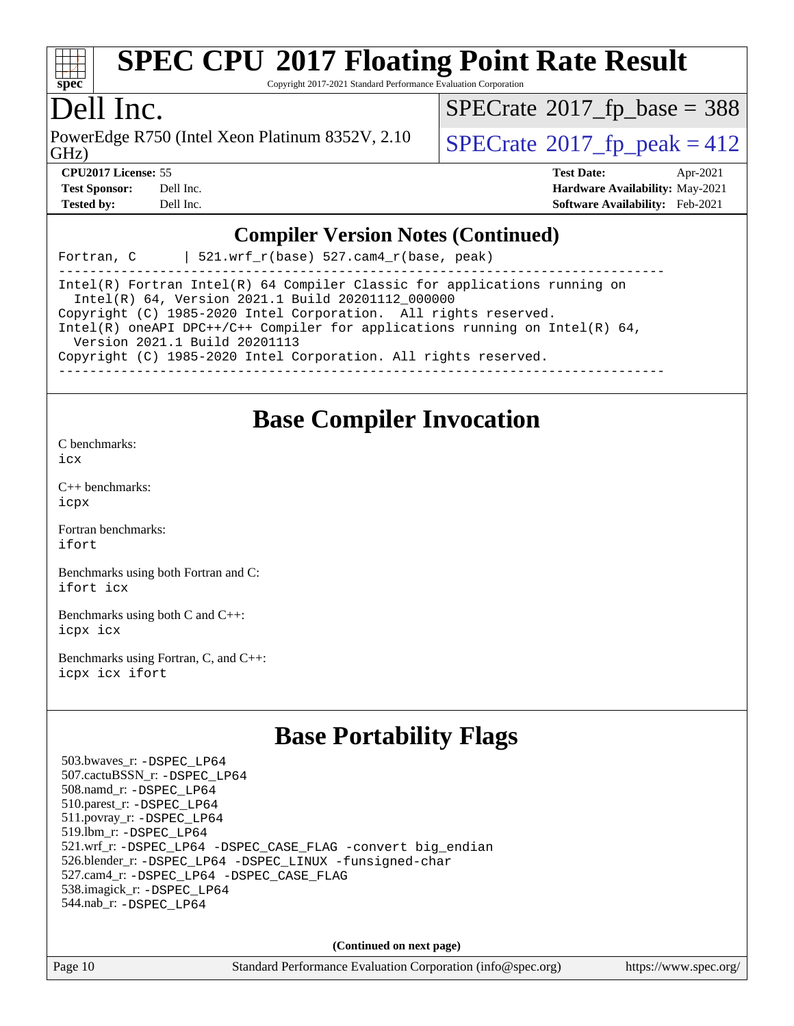

Copyright 2017-2021 Standard Performance Evaluation Corporation

## Dell Inc.

PowerEdge R750 (Intel Xeon Platinum 8352V, 2.10<br>GHz)

 $SPECTate$ <sup>®</sup>[2017\\_fp\\_base =](http://www.spec.org/auto/cpu2017/Docs/result-fields.html#SPECrate2017fpbase) 388

 $SPECTate  $2017$  fp $\rightarrow$  peak = 412$ 

**[CPU2017 License:](http://www.spec.org/auto/cpu2017/Docs/result-fields.html#CPU2017License)** 55 **[Test Date:](http://www.spec.org/auto/cpu2017/Docs/result-fields.html#TestDate)** Apr-2021 **[Test Sponsor:](http://www.spec.org/auto/cpu2017/Docs/result-fields.html#TestSponsor)** Dell Inc. **[Hardware Availability:](http://www.spec.org/auto/cpu2017/Docs/result-fields.html#HardwareAvailability)** May-2021 **[Tested by:](http://www.spec.org/auto/cpu2017/Docs/result-fields.html#Testedby)** Dell Inc. **[Software Availability:](http://www.spec.org/auto/cpu2017/Docs/result-fields.html#SoftwareAvailability)** Feb-2021

#### **[Compiler Version Notes \(Continued\)](http://www.spec.org/auto/cpu2017/Docs/result-fields.html#CompilerVersionNotes)**

Fortran, C  $|$  521.wrf r(base) 527.cam4 r(base, peak)

------------------------------------------------------------------------------ Intel(R) Fortran Intel(R) 64 Compiler Classic for applications running on Intel(R) 64, Version 2021.1 Build 20201112\_000000 Copyright (C) 1985-2020 Intel Corporation. All rights reserved. Intel(R) oneAPI DPC++/C++ Compiler for applications running on Intel(R) 64, Version 2021.1 Build 20201113 Copyright (C) 1985-2020 Intel Corporation. All rights reserved. ------------------------------------------------------------------------------

## **[Base Compiler Invocation](http://www.spec.org/auto/cpu2017/Docs/result-fields.html#BaseCompilerInvocation)**

[C benchmarks](http://www.spec.org/auto/cpu2017/Docs/result-fields.html#Cbenchmarks): [icx](http://www.spec.org/cpu2017/results/res2021q2/cpu2017-20210510-26100.flags.html#user_CCbase_intel_icx_fe2d28d19ae2a5db7c42fe0f2a2aed77cb715edd4aeb23434404a8be6683fe239869bb6ca8154ca98265c2e3b9226a719a0efe2953a4a7018c379b7010ccf087)

[C++ benchmarks:](http://www.spec.org/auto/cpu2017/Docs/result-fields.html#CXXbenchmarks) [icpx](http://www.spec.org/cpu2017/results/res2021q2/cpu2017-20210510-26100.flags.html#user_CXXbase_intel_icpx_1e918ed14c436bf4b9b7c8bcdd51d4539fc71b3df010bd1e9f8732d9c34c2b2914e48204a846820f3c0ebb4095dea797a5c30b458ac0b6dffac65d78f781f5ca)

[Fortran benchmarks](http://www.spec.org/auto/cpu2017/Docs/result-fields.html#Fortranbenchmarks): [ifort](http://www.spec.org/cpu2017/results/res2021q2/cpu2017-20210510-26100.flags.html#user_FCbase_intel_ifort_8111460550e3ca792625aed983ce982f94888b8b503583aa7ba2b8303487b4d8a21a13e7191a45c5fd58ff318f48f9492884d4413fa793fd88dd292cad7027ca)

[Benchmarks using both Fortran and C](http://www.spec.org/auto/cpu2017/Docs/result-fields.html#BenchmarksusingbothFortranandC): [ifort](http://www.spec.org/cpu2017/results/res2021q2/cpu2017-20210510-26100.flags.html#user_CC_FCbase_intel_ifort_8111460550e3ca792625aed983ce982f94888b8b503583aa7ba2b8303487b4d8a21a13e7191a45c5fd58ff318f48f9492884d4413fa793fd88dd292cad7027ca) [icx](http://www.spec.org/cpu2017/results/res2021q2/cpu2017-20210510-26100.flags.html#user_CC_FCbase_intel_icx_fe2d28d19ae2a5db7c42fe0f2a2aed77cb715edd4aeb23434404a8be6683fe239869bb6ca8154ca98265c2e3b9226a719a0efe2953a4a7018c379b7010ccf087)

[Benchmarks using both C and C++](http://www.spec.org/auto/cpu2017/Docs/result-fields.html#BenchmarksusingbothCandCXX): [icpx](http://www.spec.org/cpu2017/results/res2021q2/cpu2017-20210510-26100.flags.html#user_CC_CXXbase_intel_icpx_1e918ed14c436bf4b9b7c8bcdd51d4539fc71b3df010bd1e9f8732d9c34c2b2914e48204a846820f3c0ebb4095dea797a5c30b458ac0b6dffac65d78f781f5ca) [icx](http://www.spec.org/cpu2017/results/res2021q2/cpu2017-20210510-26100.flags.html#user_CC_CXXbase_intel_icx_fe2d28d19ae2a5db7c42fe0f2a2aed77cb715edd4aeb23434404a8be6683fe239869bb6ca8154ca98265c2e3b9226a719a0efe2953a4a7018c379b7010ccf087)

[Benchmarks using Fortran, C, and C++:](http://www.spec.org/auto/cpu2017/Docs/result-fields.html#BenchmarksusingFortranCandCXX) [icpx](http://www.spec.org/cpu2017/results/res2021q2/cpu2017-20210510-26100.flags.html#user_CC_CXX_FCbase_intel_icpx_1e918ed14c436bf4b9b7c8bcdd51d4539fc71b3df010bd1e9f8732d9c34c2b2914e48204a846820f3c0ebb4095dea797a5c30b458ac0b6dffac65d78f781f5ca) [icx](http://www.spec.org/cpu2017/results/res2021q2/cpu2017-20210510-26100.flags.html#user_CC_CXX_FCbase_intel_icx_fe2d28d19ae2a5db7c42fe0f2a2aed77cb715edd4aeb23434404a8be6683fe239869bb6ca8154ca98265c2e3b9226a719a0efe2953a4a7018c379b7010ccf087) [ifort](http://www.spec.org/cpu2017/results/res2021q2/cpu2017-20210510-26100.flags.html#user_CC_CXX_FCbase_intel_ifort_8111460550e3ca792625aed983ce982f94888b8b503583aa7ba2b8303487b4d8a21a13e7191a45c5fd58ff318f48f9492884d4413fa793fd88dd292cad7027ca)

## **[Base Portability Flags](http://www.spec.org/auto/cpu2017/Docs/result-fields.html#BasePortabilityFlags)**

 503.bwaves\_r: [-DSPEC\\_LP64](http://www.spec.org/cpu2017/results/res2021q2/cpu2017-20210510-26100.flags.html#suite_basePORTABILITY503_bwaves_r_DSPEC_LP64) 507.cactuBSSN\_r: [-DSPEC\\_LP64](http://www.spec.org/cpu2017/results/res2021q2/cpu2017-20210510-26100.flags.html#suite_basePORTABILITY507_cactuBSSN_r_DSPEC_LP64) 508.namd\_r: [-DSPEC\\_LP64](http://www.spec.org/cpu2017/results/res2021q2/cpu2017-20210510-26100.flags.html#suite_basePORTABILITY508_namd_r_DSPEC_LP64) 510.parest\_r: [-DSPEC\\_LP64](http://www.spec.org/cpu2017/results/res2021q2/cpu2017-20210510-26100.flags.html#suite_basePORTABILITY510_parest_r_DSPEC_LP64) 511.povray\_r: [-DSPEC\\_LP64](http://www.spec.org/cpu2017/results/res2021q2/cpu2017-20210510-26100.flags.html#suite_basePORTABILITY511_povray_r_DSPEC_LP64) 519.lbm\_r: [-DSPEC\\_LP64](http://www.spec.org/cpu2017/results/res2021q2/cpu2017-20210510-26100.flags.html#suite_basePORTABILITY519_lbm_r_DSPEC_LP64) 521.wrf\_r: [-DSPEC\\_LP64](http://www.spec.org/cpu2017/results/res2021q2/cpu2017-20210510-26100.flags.html#suite_basePORTABILITY521_wrf_r_DSPEC_LP64) [-DSPEC\\_CASE\\_FLAG](http://www.spec.org/cpu2017/results/res2021q2/cpu2017-20210510-26100.flags.html#b521.wrf_r_baseCPORTABILITY_DSPEC_CASE_FLAG) [-convert big\\_endian](http://www.spec.org/cpu2017/results/res2021q2/cpu2017-20210510-26100.flags.html#user_baseFPORTABILITY521_wrf_r_convert_big_endian_c3194028bc08c63ac5d04de18c48ce6d347e4e562e8892b8bdbdc0214820426deb8554edfa529a3fb25a586e65a3d812c835984020483e7e73212c4d31a38223) 526.blender\_r: [-DSPEC\\_LP64](http://www.spec.org/cpu2017/results/res2021q2/cpu2017-20210510-26100.flags.html#suite_basePORTABILITY526_blender_r_DSPEC_LP64) [-DSPEC\\_LINUX](http://www.spec.org/cpu2017/results/res2021q2/cpu2017-20210510-26100.flags.html#b526.blender_r_baseCPORTABILITY_DSPEC_LINUX) [-funsigned-char](http://www.spec.org/cpu2017/results/res2021q2/cpu2017-20210510-26100.flags.html#user_baseCPORTABILITY526_blender_r_force_uchar_40c60f00ab013830e2dd6774aeded3ff59883ba5a1fc5fc14077f794d777847726e2a5858cbc7672e36e1b067e7e5c1d9a74f7176df07886a243d7cc18edfe67) 527.cam4\_r: [-DSPEC\\_LP64](http://www.spec.org/cpu2017/results/res2021q2/cpu2017-20210510-26100.flags.html#suite_basePORTABILITY527_cam4_r_DSPEC_LP64) [-DSPEC\\_CASE\\_FLAG](http://www.spec.org/cpu2017/results/res2021q2/cpu2017-20210510-26100.flags.html#b527.cam4_r_baseCPORTABILITY_DSPEC_CASE_FLAG) 538.imagick\_r: [-DSPEC\\_LP64](http://www.spec.org/cpu2017/results/res2021q2/cpu2017-20210510-26100.flags.html#suite_basePORTABILITY538_imagick_r_DSPEC_LP64) 544.nab\_r: [-DSPEC\\_LP64](http://www.spec.org/cpu2017/results/res2021q2/cpu2017-20210510-26100.flags.html#suite_basePORTABILITY544_nab_r_DSPEC_LP64)

**(Continued on next page)**

Page 10 Standard Performance Evaluation Corporation [\(info@spec.org\)](mailto:info@spec.org) <https://www.spec.org/>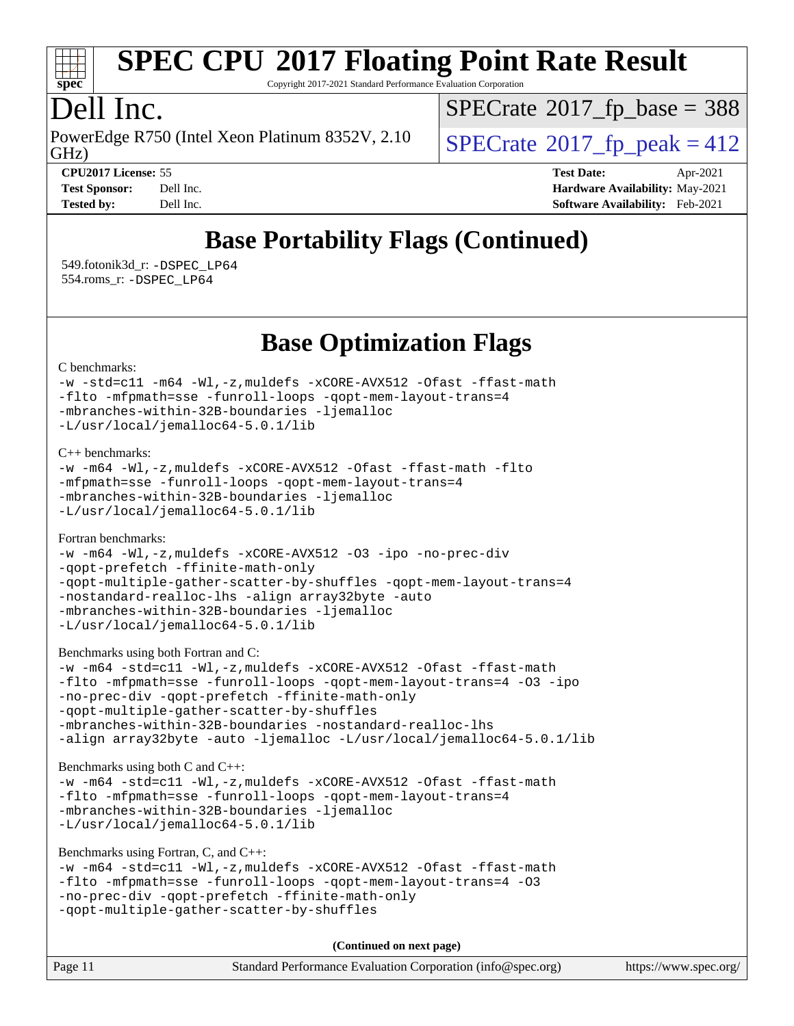

Copyright 2017-2021 Standard Performance Evaluation Corporation

## Dell Inc.

PowerEdge R750 (Intel Xeon Platinum 8352V, 2.10<br>GHz)

 $SPECTate$ <sup>®</sup>[2017\\_fp\\_base =](http://www.spec.org/auto/cpu2017/Docs/result-fields.html#SPECrate2017fpbase) 388

 $SPECTate  $2017$  fp $\rightarrow$  peak = 412$ 

**[CPU2017 License:](http://www.spec.org/auto/cpu2017/Docs/result-fields.html#CPU2017License)** 55 **[Test Date:](http://www.spec.org/auto/cpu2017/Docs/result-fields.html#TestDate)** Apr-2021 **[Test Sponsor:](http://www.spec.org/auto/cpu2017/Docs/result-fields.html#TestSponsor)** Dell Inc. **[Hardware Availability:](http://www.spec.org/auto/cpu2017/Docs/result-fields.html#HardwareAvailability)** May-2021 **[Tested by:](http://www.spec.org/auto/cpu2017/Docs/result-fields.html#Testedby)** Dell Inc. **[Software Availability:](http://www.spec.org/auto/cpu2017/Docs/result-fields.html#SoftwareAvailability)** Feb-2021

## **[Base Portability Flags \(Continued\)](http://www.spec.org/auto/cpu2017/Docs/result-fields.html#BasePortabilityFlags)**

 549.fotonik3d\_r: [-DSPEC\\_LP64](http://www.spec.org/cpu2017/results/res2021q2/cpu2017-20210510-26100.flags.html#suite_basePORTABILITY549_fotonik3d_r_DSPEC_LP64) 554.roms\_r: [-DSPEC\\_LP64](http://www.spec.org/cpu2017/results/res2021q2/cpu2017-20210510-26100.flags.html#suite_basePORTABILITY554_roms_r_DSPEC_LP64)

## **[Base Optimization Flags](http://www.spec.org/auto/cpu2017/Docs/result-fields.html#BaseOptimizationFlags)**

[C benchmarks](http://www.spec.org/auto/cpu2017/Docs/result-fields.html#Cbenchmarks):

```
-w -std=c11 -m64 -Wl,-z,muldefs -xCORE-AVX512 -Ofast -ffast-math
-flto -mfpmath=sse -funroll-loops -qopt-mem-layout-trans=4
-mbranches-within-32B-boundaries -ljemalloc
-L/usr/local/jemalloc64-5.0.1/lib
```
[C++ benchmarks:](http://www.spec.org/auto/cpu2017/Docs/result-fields.html#CXXbenchmarks)

```
-w -m64 -Wl,-z,muldefs -xCORE-AVX512 -Ofast -ffast-math -flto
-mfpmath=sse -funroll-loops -qopt-mem-layout-trans=4
-mbranches-within-32B-boundaries -ljemalloc
-L/usr/local/jemalloc64-5.0.1/lib
```
[Fortran benchmarks](http://www.spec.org/auto/cpu2017/Docs/result-fields.html#Fortranbenchmarks):

```
-w -m64 -Wl,-z,muldefs -xCORE-AVX512 -O3 -ipo -no-prec-div
-qopt-prefetch -ffinite-math-only
-qopt-multiple-gather-scatter-by-shuffles -qopt-mem-layout-trans=4
-nostandard-realloc-lhs -align array32byte -auto
-mbranches-within-32B-boundaries -ljemalloc
-L/usr/local/jemalloc64-5.0.1/lib
```
[Benchmarks using both Fortran and C](http://www.spec.org/auto/cpu2017/Docs/result-fields.html#BenchmarksusingbothFortranandC):

```
-w -m64 -std=c11 -Wl,-z,muldefs -xCORE-AVX512 -Ofast -ffast-math
-flto -mfpmath=sse -funroll-loops -qopt-mem-layout-trans=4 -O3 -ipo
-no-prec-div -qopt-prefetch -ffinite-math-only
-qopt-multiple-gather-scatter-by-shuffles
-mbranches-within-32B-boundaries -nostandard-realloc-lhs
-align array32byte -auto -ljemalloc -L/usr/local/jemalloc64-5.0.1/lib
```
[Benchmarks using both C and C++](http://www.spec.org/auto/cpu2017/Docs/result-fields.html#BenchmarksusingbothCandCXX):

[-w](http://www.spec.org/cpu2017/results/res2021q2/cpu2017-20210510-26100.flags.html#user_CC_CXXbase_supress_warning_66fb2c4e5c1dd10f38bdd29623979399e5ae75ae6e5453792d82ef66afed381df4a8602f92cac8d2ea0fffa7b93b4b1ccb9ecad4af01c9b2fe338b2082ae3859) [-m64](http://www.spec.org/cpu2017/results/res2021q2/cpu2017-20210510-26100.flags.html#user_CC_CXXbase_m64-icc) [-std=c11](http://www.spec.org/cpu2017/results/res2021q2/cpu2017-20210510-26100.flags.html#user_CC_CXXbase_std-icc-std_0e1c27790398a4642dfca32ffe6c27b5796f9c2d2676156f2e42c9c44eaad0c049b1cdb667a270c34d979996257aeb8fc440bfb01818dbc9357bd9d174cb8524) [-Wl,-z,muldefs](http://www.spec.org/cpu2017/results/res2021q2/cpu2017-20210510-26100.flags.html#user_CC_CXXbase_link_force_multiple1_b4cbdb97b34bdee9ceefcfe54f4c8ea74255f0b02a4b23e853cdb0e18eb4525ac79b5a88067c842dd0ee6996c24547a27a4b99331201badda8798ef8a743f577) [-xCORE-AVX512](http://www.spec.org/cpu2017/results/res2021q2/cpu2017-20210510-26100.flags.html#user_CC_CXXbase_f-xCORE-AVX512) [-Ofast](http://www.spec.org/cpu2017/results/res2021q2/cpu2017-20210510-26100.flags.html#user_CC_CXXbase_f-Ofast) [-ffast-math](http://www.spec.org/cpu2017/results/res2021q2/cpu2017-20210510-26100.flags.html#user_CC_CXXbase_f-ffast-math) [-flto](http://www.spec.org/cpu2017/results/res2021q2/cpu2017-20210510-26100.flags.html#user_CC_CXXbase_f-flto) [-mfpmath=sse](http://www.spec.org/cpu2017/results/res2021q2/cpu2017-20210510-26100.flags.html#user_CC_CXXbase_f-mfpmath_70eb8fac26bde974f8ab713bc9086c5621c0b8d2f6c86f38af0bd7062540daf19db5f3a066d8c6684be05d84c9b6322eb3b5be6619d967835195b93d6c02afa1) [-funroll-loops](http://www.spec.org/cpu2017/results/res2021q2/cpu2017-20210510-26100.flags.html#user_CC_CXXbase_f-funroll-loops) [-qopt-mem-layout-trans=4](http://www.spec.org/cpu2017/results/res2021q2/cpu2017-20210510-26100.flags.html#user_CC_CXXbase_f-qopt-mem-layout-trans_fa39e755916c150a61361b7846f310bcdf6f04e385ef281cadf3647acec3f0ae266d1a1d22d972a7087a248fd4e6ca390a3634700869573d231a252c784941a8) [-mbranches-within-32B-boundaries](http://www.spec.org/cpu2017/results/res2021q2/cpu2017-20210510-26100.flags.html#user_CC_CXXbase_f-mbranches-within-32B-boundaries) [-ljemalloc](http://www.spec.org/cpu2017/results/res2021q2/cpu2017-20210510-26100.flags.html#user_CC_CXXbase_jemalloc_link_lib_d1249b907c500fa1c0672f44f562e3d0f79738ae9e3c4a9c376d49f265a04b9c99b167ecedbf6711b3085be911c67ff61f150a17b3472be731631ba4d0471706) [-L/usr/local/jemalloc64-5.0.1/lib](http://www.spec.org/cpu2017/results/res2021q2/cpu2017-20210510-26100.flags.html#user_CC_CXXbase_jemalloc_link_path64_1_cc289568b1a6c0fd3b62c91b824c27fcb5af5e8098e6ad028160d21144ef1b8aef3170d2acf0bee98a8da324cfe4f67d0a3d0c4cc4673d993d694dc2a0df248b)

```
Benchmarks using Fortran, C, and C++: 
-w -m64 -std=c11 -Wl,-z,muldefs -xCORE-AVX512 -Ofast -ffast-math
-flto -mfpmath=sse -funroll-loops -qopt-mem-layout-trans=4 -O3
-no-prec-div -qopt-prefetch -ffinite-math-only
-qopt-multiple-gather-scatter-by-shuffles
```
**(Continued on next page)**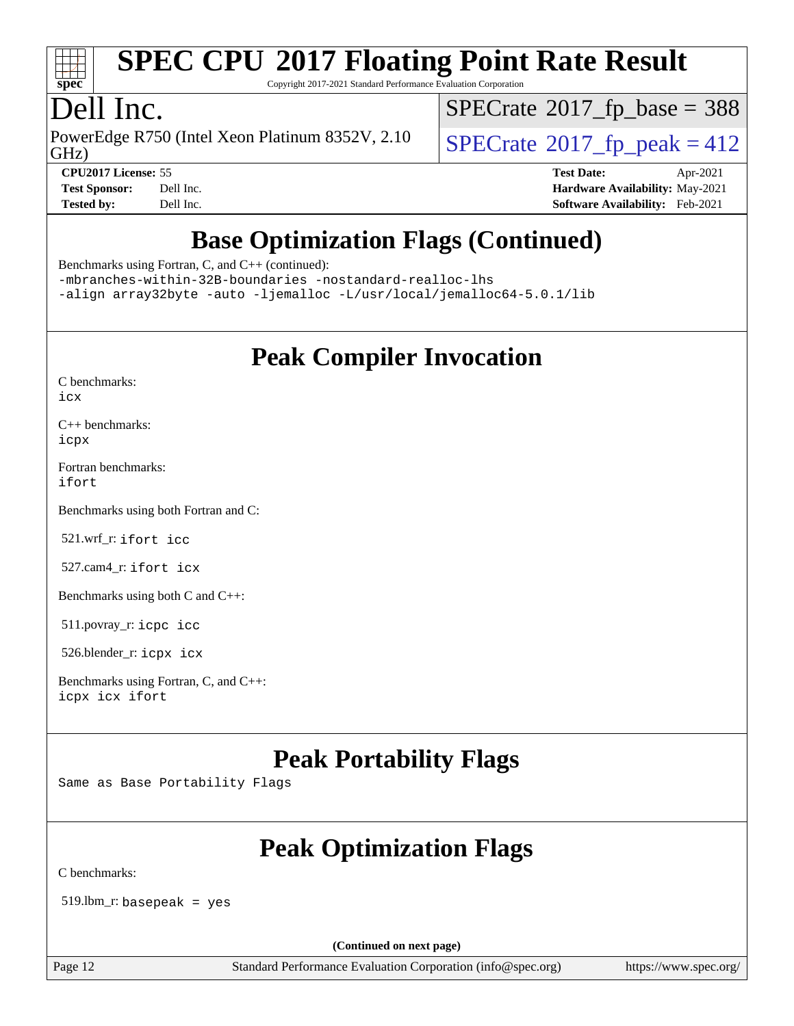

Copyright 2017-2021 Standard Performance Evaluation Corporation

## Dell Inc.

PowerEdge R750 (Intel Xeon Platinum 8352V, 2.10<br>GHz)

 $SPECTate$ <sup>®</sup>[2017\\_fp\\_base =](http://www.spec.org/auto/cpu2017/Docs/result-fields.html#SPECrate2017fpbase) 388

 $SPECTate  $2017$  fp $\rightarrow$  peak = 412$ 

**[CPU2017 License:](http://www.spec.org/auto/cpu2017/Docs/result-fields.html#CPU2017License)** 55 **[Test Date:](http://www.spec.org/auto/cpu2017/Docs/result-fields.html#TestDate)** Apr-2021 **[Test Sponsor:](http://www.spec.org/auto/cpu2017/Docs/result-fields.html#TestSponsor)** Dell Inc. **[Hardware Availability:](http://www.spec.org/auto/cpu2017/Docs/result-fields.html#HardwareAvailability)** May-2021 **[Tested by:](http://www.spec.org/auto/cpu2017/Docs/result-fields.html#Testedby)** Dell Inc. **[Software Availability:](http://www.spec.org/auto/cpu2017/Docs/result-fields.html#SoftwareAvailability)** Feb-2021

## **[Base Optimization Flags \(Continued\)](http://www.spec.org/auto/cpu2017/Docs/result-fields.html#BaseOptimizationFlags)**

[Benchmarks using Fortran, C, and C++](http://www.spec.org/auto/cpu2017/Docs/result-fields.html#BenchmarksusingFortranCandCXX) (continued):

[-mbranches-within-32B-boundaries](http://www.spec.org/cpu2017/results/res2021q2/cpu2017-20210510-26100.flags.html#user_CC_CXX_FCbase_f-mbranches-within-32B-boundaries) [-nostandard-realloc-lhs](http://www.spec.org/cpu2017/results/res2021q2/cpu2017-20210510-26100.flags.html#user_CC_CXX_FCbase_f_2003_std_realloc_82b4557e90729c0f113870c07e44d33d6f5a304b4f63d4c15d2d0f1fab99f5daaed73bdb9275d9ae411527f28b936061aa8b9c8f2d63842963b95c9dd6426b8a) [-align array32byte](http://www.spec.org/cpu2017/results/res2021q2/cpu2017-20210510-26100.flags.html#user_CC_CXX_FCbase_align_array32byte_b982fe038af199962ba9a80c053b8342c548c85b40b8e86eb3cc33dee0d7986a4af373ac2d51c3f7cf710a18d62fdce2948f201cd044323541f22fc0fffc51b6) [-auto](http://www.spec.org/cpu2017/results/res2021q2/cpu2017-20210510-26100.flags.html#user_CC_CXX_FCbase_f-auto) [-ljemalloc](http://www.spec.org/cpu2017/results/res2021q2/cpu2017-20210510-26100.flags.html#user_CC_CXX_FCbase_jemalloc_link_lib_d1249b907c500fa1c0672f44f562e3d0f79738ae9e3c4a9c376d49f265a04b9c99b167ecedbf6711b3085be911c67ff61f150a17b3472be731631ba4d0471706) [-L/usr/local/jemalloc64-5.0.1/lib](http://www.spec.org/cpu2017/results/res2021q2/cpu2017-20210510-26100.flags.html#user_CC_CXX_FCbase_jemalloc_link_path64_1_cc289568b1a6c0fd3b62c91b824c27fcb5af5e8098e6ad028160d21144ef1b8aef3170d2acf0bee98a8da324cfe4f67d0a3d0c4cc4673d993d694dc2a0df248b)

## **[Peak Compiler Invocation](http://www.spec.org/auto/cpu2017/Docs/result-fields.html#PeakCompilerInvocation)**

[C benchmarks](http://www.spec.org/auto/cpu2017/Docs/result-fields.html#Cbenchmarks): [icx](http://www.spec.org/cpu2017/results/res2021q2/cpu2017-20210510-26100.flags.html#user_CCpeak_intel_icx_fe2d28d19ae2a5db7c42fe0f2a2aed77cb715edd4aeb23434404a8be6683fe239869bb6ca8154ca98265c2e3b9226a719a0efe2953a4a7018c379b7010ccf087)

[C++ benchmarks:](http://www.spec.org/auto/cpu2017/Docs/result-fields.html#CXXbenchmarks) [icpx](http://www.spec.org/cpu2017/results/res2021q2/cpu2017-20210510-26100.flags.html#user_CXXpeak_intel_icpx_1e918ed14c436bf4b9b7c8bcdd51d4539fc71b3df010bd1e9f8732d9c34c2b2914e48204a846820f3c0ebb4095dea797a5c30b458ac0b6dffac65d78f781f5ca)

[Fortran benchmarks](http://www.spec.org/auto/cpu2017/Docs/result-fields.html#Fortranbenchmarks): [ifort](http://www.spec.org/cpu2017/results/res2021q2/cpu2017-20210510-26100.flags.html#user_FCpeak_intel_ifort_8111460550e3ca792625aed983ce982f94888b8b503583aa7ba2b8303487b4d8a21a13e7191a45c5fd58ff318f48f9492884d4413fa793fd88dd292cad7027ca)

[Benchmarks using both Fortran and C](http://www.spec.org/auto/cpu2017/Docs/result-fields.html#BenchmarksusingbothFortranandC):

521.wrf\_r: [ifort](http://www.spec.org/cpu2017/results/res2021q2/cpu2017-20210510-26100.flags.html#user_peakFCLD521_wrf_r_intel_ifort_8111460550e3ca792625aed983ce982f94888b8b503583aa7ba2b8303487b4d8a21a13e7191a45c5fd58ff318f48f9492884d4413fa793fd88dd292cad7027ca) [icc](http://www.spec.org/cpu2017/results/res2021q2/cpu2017-20210510-26100.flags.html#user_peakCC521_wrf_r_intel_icc_66fc1ee009f7361af1fbd72ca7dcefbb700085f36577c54f309893dd4ec40d12360134090235512931783d35fd58c0460139e722d5067c5574d8eaf2b3e37e92)

527.cam4\_r: [ifort](http://www.spec.org/cpu2017/results/res2021q2/cpu2017-20210510-26100.flags.html#user_peakFCLD527_cam4_r_intel_ifort_8111460550e3ca792625aed983ce982f94888b8b503583aa7ba2b8303487b4d8a21a13e7191a45c5fd58ff318f48f9492884d4413fa793fd88dd292cad7027ca) [icx](http://www.spec.org/cpu2017/results/res2021q2/cpu2017-20210510-26100.flags.html#user_peakCC527_cam4_r_intel_icx_fe2d28d19ae2a5db7c42fe0f2a2aed77cb715edd4aeb23434404a8be6683fe239869bb6ca8154ca98265c2e3b9226a719a0efe2953a4a7018c379b7010ccf087)

[Benchmarks using both C and C++](http://www.spec.org/auto/cpu2017/Docs/result-fields.html#BenchmarksusingbothCandCXX):

511.povray\_r: [icpc](http://www.spec.org/cpu2017/results/res2021q2/cpu2017-20210510-26100.flags.html#user_peakCXXLD511_povray_r_intel_icpc_c510b6838c7f56d33e37e94d029a35b4a7bccf4766a728ee175e80a419847e808290a9b78be685c44ab727ea267ec2f070ec5dc83b407c0218cded6866a35d07) [icc](http://www.spec.org/cpu2017/results/res2021q2/cpu2017-20210510-26100.flags.html#user_peakCC511_povray_r_intel_icc_66fc1ee009f7361af1fbd72ca7dcefbb700085f36577c54f309893dd4ec40d12360134090235512931783d35fd58c0460139e722d5067c5574d8eaf2b3e37e92)

526.blender\_r: [icpx](http://www.spec.org/cpu2017/results/res2021q2/cpu2017-20210510-26100.flags.html#user_peakCXXLD526_blender_r_intel_icpx_1e918ed14c436bf4b9b7c8bcdd51d4539fc71b3df010bd1e9f8732d9c34c2b2914e48204a846820f3c0ebb4095dea797a5c30b458ac0b6dffac65d78f781f5ca) [icx](http://www.spec.org/cpu2017/results/res2021q2/cpu2017-20210510-26100.flags.html#user_peakCC526_blender_r_intel_icx_fe2d28d19ae2a5db7c42fe0f2a2aed77cb715edd4aeb23434404a8be6683fe239869bb6ca8154ca98265c2e3b9226a719a0efe2953a4a7018c379b7010ccf087)

[Benchmarks using Fortran, C, and C++:](http://www.spec.org/auto/cpu2017/Docs/result-fields.html#BenchmarksusingFortranCandCXX) [icpx](http://www.spec.org/cpu2017/results/res2021q2/cpu2017-20210510-26100.flags.html#user_CC_CXX_FCpeak_intel_icpx_1e918ed14c436bf4b9b7c8bcdd51d4539fc71b3df010bd1e9f8732d9c34c2b2914e48204a846820f3c0ebb4095dea797a5c30b458ac0b6dffac65d78f781f5ca) [icx](http://www.spec.org/cpu2017/results/res2021q2/cpu2017-20210510-26100.flags.html#user_CC_CXX_FCpeak_intel_icx_fe2d28d19ae2a5db7c42fe0f2a2aed77cb715edd4aeb23434404a8be6683fe239869bb6ca8154ca98265c2e3b9226a719a0efe2953a4a7018c379b7010ccf087) [ifort](http://www.spec.org/cpu2017/results/res2021q2/cpu2017-20210510-26100.flags.html#user_CC_CXX_FCpeak_intel_ifort_8111460550e3ca792625aed983ce982f94888b8b503583aa7ba2b8303487b4d8a21a13e7191a45c5fd58ff318f48f9492884d4413fa793fd88dd292cad7027ca)

## **[Peak Portability Flags](http://www.spec.org/auto/cpu2017/Docs/result-fields.html#PeakPortabilityFlags)**

Same as Base Portability Flags

## **[Peak Optimization Flags](http://www.spec.org/auto/cpu2017/Docs/result-fields.html#PeakOptimizationFlags)**

[C benchmarks](http://www.spec.org/auto/cpu2017/Docs/result-fields.html#Cbenchmarks):

 $519.$ lbm\_r: basepeak = yes

**(Continued on next page)**

Page 12 Standard Performance Evaluation Corporation [\(info@spec.org\)](mailto:info@spec.org) <https://www.spec.org/>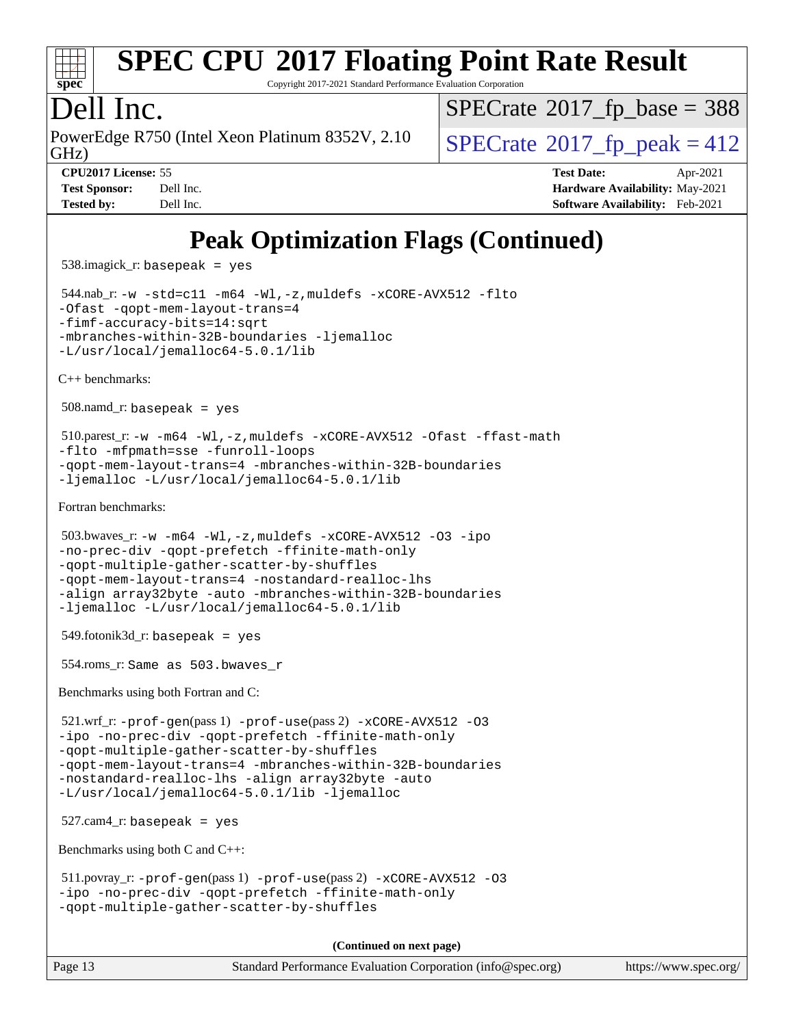

Copyright 2017-2021 Standard Performance Evaluation Corporation

## Dell Inc.

PowerEdge R750 (Intel Xeon Platinum 8352V, 2.10<br>GHz)

 $SPECTate  $2017$  fp $\rightarrow$  peak = 412$  $SPECTate$ <sup>®</sup>[2017\\_fp\\_base =](http://www.spec.org/auto/cpu2017/Docs/result-fields.html#SPECrate2017fpbase) 388

**[Tested by:](http://www.spec.org/auto/cpu2017/Docs/result-fields.html#Testedby)** Dell Inc. **[Software Availability:](http://www.spec.org/auto/cpu2017/Docs/result-fields.html#SoftwareAvailability)** Feb-2021

**[CPU2017 License:](http://www.spec.org/auto/cpu2017/Docs/result-fields.html#CPU2017License)** 55 **[Test Date:](http://www.spec.org/auto/cpu2017/Docs/result-fields.html#TestDate)** Apr-2021 **[Test Sponsor:](http://www.spec.org/auto/cpu2017/Docs/result-fields.html#TestSponsor)** Dell Inc. **[Hardware Availability:](http://www.spec.org/auto/cpu2017/Docs/result-fields.html#HardwareAvailability)** May-2021

## **[Peak Optimization Flags \(Continued\)](http://www.spec.org/auto/cpu2017/Docs/result-fields.html#PeakOptimizationFlags)**

538.imagick\_r: basepeak = yes

 544.nab\_r: [-w](http://www.spec.org/cpu2017/results/res2021q2/cpu2017-20210510-26100.flags.html#user_peakCCLD544_nab_r_supress_warning_66fb2c4e5c1dd10f38bdd29623979399e5ae75ae6e5453792d82ef66afed381df4a8602f92cac8d2ea0fffa7b93b4b1ccb9ecad4af01c9b2fe338b2082ae3859) [-std=c11](http://www.spec.org/cpu2017/results/res2021q2/cpu2017-20210510-26100.flags.html#user_peakCCLD544_nab_r_std-icc-std_0e1c27790398a4642dfca32ffe6c27b5796f9c2d2676156f2e42c9c44eaad0c049b1cdb667a270c34d979996257aeb8fc440bfb01818dbc9357bd9d174cb8524) [-m64](http://www.spec.org/cpu2017/results/res2021q2/cpu2017-20210510-26100.flags.html#user_peakCCLD544_nab_r_m64-icc) [-Wl,-z,muldefs](http://www.spec.org/cpu2017/results/res2021q2/cpu2017-20210510-26100.flags.html#user_peakEXTRA_LDFLAGS544_nab_r_link_force_multiple1_b4cbdb97b34bdee9ceefcfe54f4c8ea74255f0b02a4b23e853cdb0e18eb4525ac79b5a88067c842dd0ee6996c24547a27a4b99331201badda8798ef8a743f577) [-xCORE-AVX512](http://www.spec.org/cpu2017/results/res2021q2/cpu2017-20210510-26100.flags.html#user_peakCOPTIMIZE544_nab_r_f-xCORE-AVX512) [-flto](http://www.spec.org/cpu2017/results/res2021q2/cpu2017-20210510-26100.flags.html#user_peakCOPTIMIZE544_nab_r_f-flto) [-Ofast](http://www.spec.org/cpu2017/results/res2021q2/cpu2017-20210510-26100.flags.html#user_peakCOPTIMIZE544_nab_r_f-Ofast) [-qopt-mem-layout-trans=4](http://www.spec.org/cpu2017/results/res2021q2/cpu2017-20210510-26100.flags.html#user_peakCOPTIMIZE544_nab_r_f-qopt-mem-layout-trans_fa39e755916c150a61361b7846f310bcdf6f04e385ef281cadf3647acec3f0ae266d1a1d22d972a7087a248fd4e6ca390a3634700869573d231a252c784941a8) [-fimf-accuracy-bits=14:sqrt](http://www.spec.org/cpu2017/results/res2021q2/cpu2017-20210510-26100.flags.html#user_peakEXTRA_OPTIMIZE544_nab_r_f-imf-accuracy-bits_dec3764af0c61f52590ca8f859bc2b38948cb3a9f4bd45f959a8dd6743142ff5c0d5c89fdfba8d7c6d41a5122d7dc4d32797a5effd20a981baa30839b7373d7d) [-mbranches-within-32B-boundaries](http://www.spec.org/cpu2017/results/res2021q2/cpu2017-20210510-26100.flags.html#user_peakEXTRA_COPTIMIZE544_nab_r_f-mbranches-within-32B-boundaries) [-ljemalloc](http://www.spec.org/cpu2017/results/res2021q2/cpu2017-20210510-26100.flags.html#user_peakEXTRA_LIBS544_nab_r_jemalloc_link_lib_d1249b907c500fa1c0672f44f562e3d0f79738ae9e3c4a9c376d49f265a04b9c99b167ecedbf6711b3085be911c67ff61f150a17b3472be731631ba4d0471706) [-L/usr/local/jemalloc64-5.0.1/lib](http://www.spec.org/cpu2017/results/res2021q2/cpu2017-20210510-26100.flags.html#user_peakEXTRA_LIBS544_nab_r_jemalloc_link_path64_1_cc289568b1a6c0fd3b62c91b824c27fcb5af5e8098e6ad028160d21144ef1b8aef3170d2acf0bee98a8da324cfe4f67d0a3d0c4cc4673d993d694dc2a0df248b)

[C++ benchmarks:](http://www.spec.org/auto/cpu2017/Docs/result-fields.html#CXXbenchmarks)

508.namd\_r: basepeak = yes

```
 510.parest_r: -w -m64 -Wl,-z,muldefs -xCORE-AVX512 -Ofast -ffast-math
-flto -mfpmath=sse -funroll-loops
-qopt-mem-layout-trans=4 -mbranches-within-32B-boundaries
-ljemalloc -L/usr/local/jemalloc64-5.0.1/lib
```
[Fortran benchmarks](http://www.spec.org/auto/cpu2017/Docs/result-fields.html#Fortranbenchmarks):

```
 503.bwaves_r: -w -m64 -Wl,-z,muldefs -xCORE-AVX512 -O3 -ipo
-no-prec-div -qopt-prefetch -ffinite-math-only
-qopt-multiple-gather-scatter-by-shuffles
-qopt-mem-layout-trans=4 -nostandard-realloc-lhs
-align array32byte -auto -mbranches-within-32B-boundaries
-ljemalloc -L/usr/local/jemalloc64-5.0.1/lib
```
 $549.$ fotonik $3d$ \_r: basepeak = yes

554.roms\_r: Same as 503.bwaves\_r

[Benchmarks using both Fortran and C](http://www.spec.org/auto/cpu2017/Docs/result-fields.html#BenchmarksusingbothFortranandC):

 $521.\text{wrf}_r$ :  $-\text{prof}-\text{gen}(pass 1)$   $-\text{prof}-\text{use}(pass 2)$   $-\text{xCORE}-\text{AVX}512$  [-O3](http://www.spec.org/cpu2017/results/res2021q2/cpu2017-20210510-26100.flags.html#user_peakCOPTIMIZE521_wrf_r_f-O3) [-ipo](http://www.spec.org/cpu2017/results/res2021q2/cpu2017-20210510-26100.flags.html#user_peakCOPTIMIZE521_wrf_r_f-ipo) [-no-prec-div](http://www.spec.org/cpu2017/results/res2021q2/cpu2017-20210510-26100.flags.html#user_peakCOPTIMIZE521_wrf_r_f-no-prec-div) [-qopt-prefetch](http://www.spec.org/cpu2017/results/res2021q2/cpu2017-20210510-26100.flags.html#user_peakCOPTIMIZE521_wrf_r_f-qopt-prefetch) [-ffinite-math-only](http://www.spec.org/cpu2017/results/res2021q2/cpu2017-20210510-26100.flags.html#user_peakCOPTIMIZE521_wrf_r_f_finite_math_only_cb91587bd2077682c4b38af759c288ed7c732db004271a9512da14a4f8007909a5f1427ecbf1a0fb78ff2a814402c6114ac565ca162485bbcae155b5e4258871) [-qopt-multiple-gather-scatter-by-shuffles](http://www.spec.org/cpu2017/results/res2021q2/cpu2017-20210510-26100.flags.html#user_peakCOPTIMIZE521_wrf_r_f-qopt-multiple-gather-scatter-by-shuffles) [-qopt-mem-layout-trans=4](http://www.spec.org/cpu2017/results/res2021q2/cpu2017-20210510-26100.flags.html#user_peakCOPTIMIZE521_wrf_r_f-qopt-mem-layout-trans_fa39e755916c150a61361b7846f310bcdf6f04e385ef281cadf3647acec3f0ae266d1a1d22d972a7087a248fd4e6ca390a3634700869573d231a252c784941a8) [-mbranches-within-32B-boundaries](http://www.spec.org/cpu2017/results/res2021q2/cpu2017-20210510-26100.flags.html#user_peakEXTRA_COPTIMIZEEXTRA_FOPTIMIZE521_wrf_r_f-mbranches-within-32B-boundaries) [-nostandard-realloc-lhs](http://www.spec.org/cpu2017/results/res2021q2/cpu2017-20210510-26100.flags.html#user_peakEXTRA_FOPTIMIZE521_wrf_r_f_2003_std_realloc_82b4557e90729c0f113870c07e44d33d6f5a304b4f63d4c15d2d0f1fab99f5daaed73bdb9275d9ae411527f28b936061aa8b9c8f2d63842963b95c9dd6426b8a) [-align array32byte](http://www.spec.org/cpu2017/results/res2021q2/cpu2017-20210510-26100.flags.html#user_peakEXTRA_FOPTIMIZE521_wrf_r_align_array32byte_b982fe038af199962ba9a80c053b8342c548c85b40b8e86eb3cc33dee0d7986a4af373ac2d51c3f7cf710a18d62fdce2948f201cd044323541f22fc0fffc51b6) [-auto](http://www.spec.org/cpu2017/results/res2021q2/cpu2017-20210510-26100.flags.html#user_peakEXTRA_FOPTIMIZE521_wrf_r_f-auto) [-L/usr/local/jemalloc64-5.0.1/lib](http://www.spec.org/cpu2017/results/res2021q2/cpu2017-20210510-26100.flags.html#user_peakEXTRA_LIBS521_wrf_r_jemalloc_link_path64_1_cc289568b1a6c0fd3b62c91b824c27fcb5af5e8098e6ad028160d21144ef1b8aef3170d2acf0bee98a8da324cfe4f67d0a3d0c4cc4673d993d694dc2a0df248b) [-ljemalloc](http://www.spec.org/cpu2017/results/res2021q2/cpu2017-20210510-26100.flags.html#user_peakEXTRA_LIBS521_wrf_r_jemalloc_link_lib_d1249b907c500fa1c0672f44f562e3d0f79738ae9e3c4a9c376d49f265a04b9c99b167ecedbf6711b3085be911c67ff61f150a17b3472be731631ba4d0471706)

 $527.cam4_r$ : basepeak = yes

[Benchmarks using both C and C++](http://www.spec.org/auto/cpu2017/Docs/result-fields.html#BenchmarksusingbothCandCXX):

```
 511.povray_r: -prof-gen(pass 1) -prof-use(pass 2) -xCORE-AVX512 -O3
-ipo -no-prec-div -qopt-prefetch -ffinite-math-only
-qopt-multiple-gather-scatter-by-shuffles
```
**(Continued on next page)**